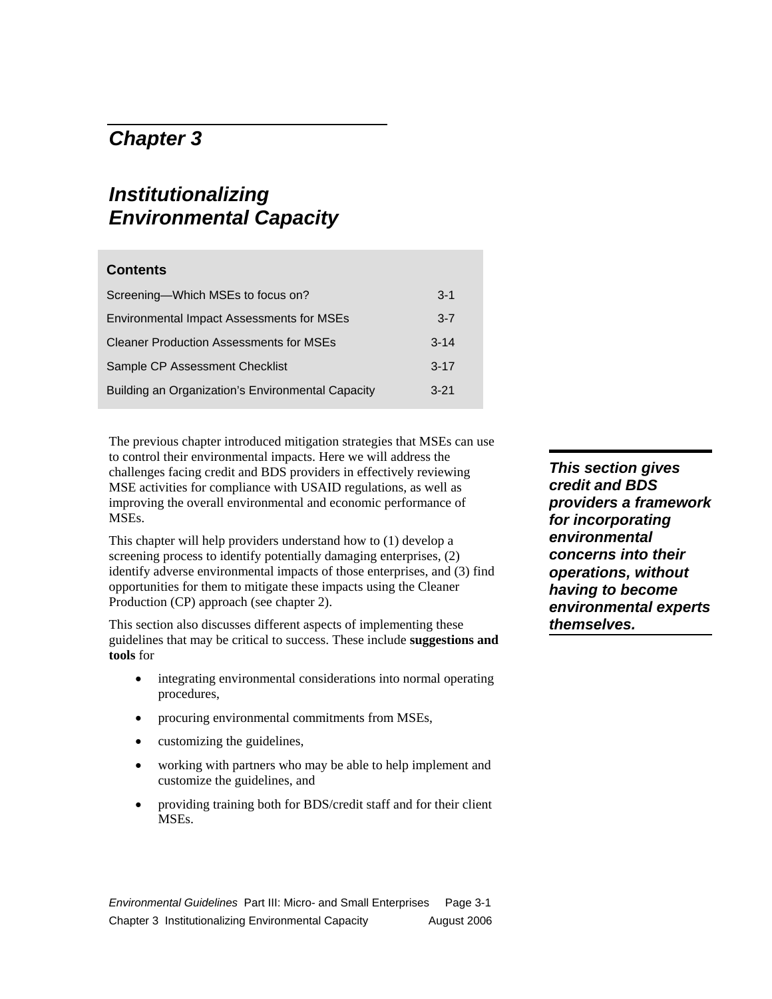### *Chapter 3*

## *Institutionalizing Environmental Capacity*

| <b>Contents</b>                                   |          |
|---------------------------------------------------|----------|
| Screening-Which MSEs to focus on?                 | $3 - 1$  |
| <b>Environmental Impact Assessments for MSEs</b>  | $3 - 7$  |
| <b>Cleaner Production Assessments for MSEs</b>    | $3 - 14$ |
| Sample CP Assessment Checklist                    | $3 - 17$ |
| Building an Organization's Environmental Capacity | $3 - 21$ |

The previous chapter introduced mitigation strategies that MSEs can use to control their environmental impacts. Here we will address the challenges facing credit and BDS providers in effectively reviewing MSE activities for compliance with USAID regulations, as well as improving the overall environmental and economic performance of MSEs.

This chapter will help providers understand how to (1) develop a screening process to identify potentially damaging enterprises, (2) identify adverse environmental impacts of those enterprises, and (3) find opportunities for them to mitigate these impacts using the Cleaner Production (CP) approach (see chapter 2).

This section also discusses different aspects of implementing these guidelines that may be critical to success. These include **suggestions and tools** for

- integrating environmental considerations into normal operating procedures,
- procuring environmental commitments from MSEs,
- customizing the guidelines,
- working with partners who may be able to help implement and customize the guidelines, and
- providing training both for BDS/credit staff and for their client MSEs.

*Environmental Guidelines* Part III: Micro- and Small Enterprises Page 3-1 Chapter 3 Institutionalizing Environmental Capacity August 2006

*This section gives credit and BDS providers a framework for incorporating environmental concerns into their operations, without having to become environmental experts themselves.*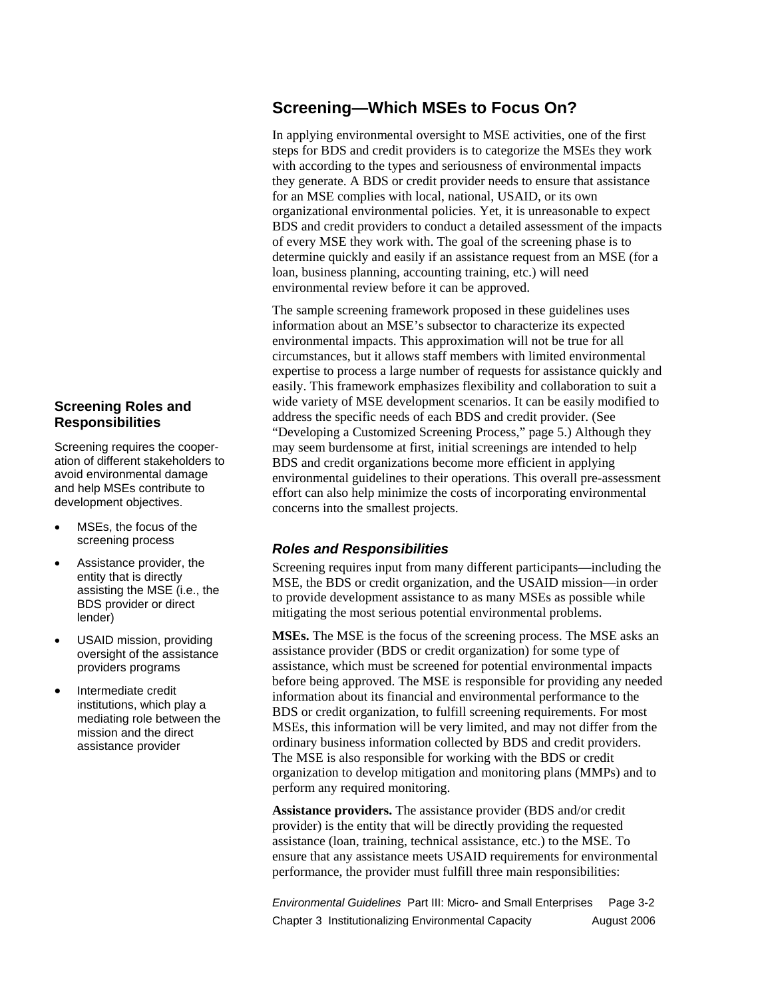# **Screening Roles and**

**Responsibilities** 

Screening requires the cooperation of different stakeholders to avoid environmental damage and help MSEs contribute to development objectives.

- MSEs, the focus of the screening process
- Assistance provider, the entity that is directly assisting the MSE (i.e., the BDS provider or direct lender)
- USAID mission, providing oversight of the assistance providers programs
- Intermediate credit institutions, which play a mediating role between the mission and the direct assistance provider

### **Screening—Which MSEs to Focus On?**

In applying environmental oversight to MSE activities, one of the first steps for BDS and credit providers is to categorize the MSEs they work with according to the types and seriousness of environmental impacts they generate. A BDS or credit provider needs to ensure that assistance for an MSE complies with local, national, USAID, or its own organizational environmental policies. Yet, it is unreasonable to expect BDS and credit providers to conduct a detailed assessment of the impacts of every MSE they work with. The goal of the screening phase is to determine quickly and easily if an assistance request from an MSE (for a loan, business planning, accounting training, etc.) will need environmental review before it can be approved.

The sample screening framework proposed in these guidelines uses information about an MSE's subsector to characterize its expected environmental impacts. This approximation will not be true for all circumstances, but it allows staff members with limited environmental expertise to process a large number of requests for assistance quickly and easily. This framework emphasizes flexibility and collaboration to suit a wide variety of MSE development scenarios. It can be easily modified to address the specific needs of each BDS and credit provider. (See "Developing a Customized Screening Process," page 5.) Although they may seem burdensome at first, initial screenings are intended to help BDS and credit organizations become more efficient in applying environmental guidelines to their operations. This overall pre-assessment effort can also help minimize the costs of incorporating environmental concerns into the smallest projects.

### *Roles and Responsibilities*

Screening requires input from many different participants—including the MSE, the BDS or credit organization, and the USAID mission—in order to provide development assistance to as many MSEs as possible while mitigating the most serious potential environmental problems.

**MSEs.** The MSE is the focus of the screening process. The MSE asks an assistance provider (BDS or credit organization) for some type of assistance, which must be screened for potential environmental impacts before being approved. The MSE is responsible for providing any needed information about its financial and environmental performance to the BDS or credit organization, to fulfill screening requirements. For most MSEs, this information will be very limited, and may not differ from the ordinary business information collected by BDS and credit providers. The MSE is also responsible for working with the BDS or credit organization to develop mitigation and monitoring plans (MMPs) and to perform any required monitoring.

**Assistance providers.** The assistance provider (BDS and/or credit provider) is the entity that will be directly providing the requested assistance (loan, training, technical assistance, etc.) to the MSE. To ensure that any assistance meets USAID requirements for environmental performance, the provider must fulfill three main responsibilities:

*Environmental Guidelines* Part III: Micro- and Small Enterprises Page 3-2 Chapter 3 Institutionalizing Environmental Capacity **August 2006**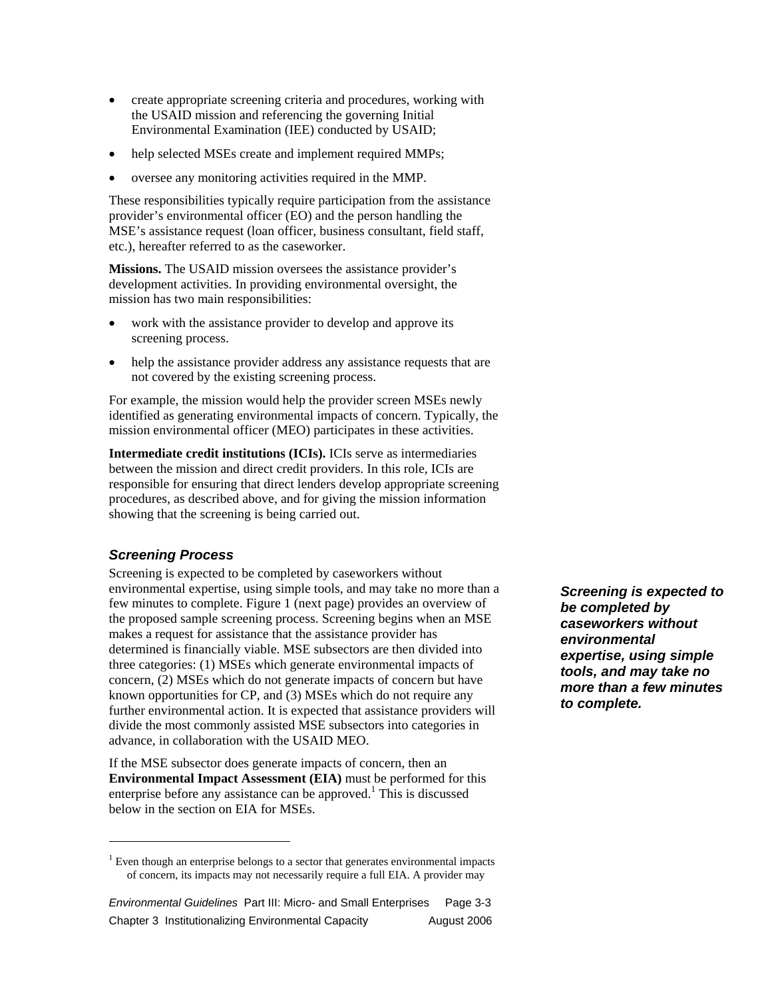- create appropriate screening criteria and procedures, working with the USAID mission and referencing the governing Initial Environmental Examination (IEE) conducted by USAID;
- help selected MSEs create and implement required MMPs;
- oversee any monitoring activities required in the MMP.

These responsibilities typically require participation from the assistance provider's environmental officer (EO) and the person handling the MSE's assistance request (loan officer, business consultant, field staff, etc.), hereafter referred to as the caseworker.

**Missions.** The USAID mission oversees the assistance provider's development activities. In providing environmental oversight, the mission has two main responsibilities:

- work with the assistance provider to develop and approve its screening process.
- help the assistance provider address any assistance requests that are not covered by the existing screening process.

For example, the mission would help the provider screen MSEs newly identified as generating environmental impacts of concern. Typically, the mission environmental officer (MEO) participates in these activities.

**Intermediate credit institutions (ICIs).** ICIs serve as intermediaries between the mission and direct credit providers. In this role, ICIs are responsible for ensuring that direct lenders develop appropriate screening procedures, as described above, and for giving the mission information showing that the screening is being carried out.

### *Screening Process*

 $\overline{a}$ 

Screening is expected to be completed by caseworkers without environmental expertise, using simple tools, and may take no more than a few minutes to complete. Figure 1 (next page) provides an overview of the proposed sample screening process. Screening begins when an MSE makes a request for assistance that the assistance provider has determined is financially viable. MSE subsectors are then divided into three categories: (1) MSEs which generate environmental impacts of concern, (2) MSEs which do not generate impacts of concern but have known opportunities for CP, and (3) MSEs which do not require any further environmental action. It is expected that assistance providers will divide the most commonly assisted MSE subsectors into categories in advance, in collaboration with the USAID MEO.

If the MSE subsector does generate impacts of concern, then an **Environmental Impact Assessment (EIA)** must be performed for this enterprise before any assistance can be approved.<sup>1</sup> This is discussed below in the section on EIA for MSEs.

*Screening is expected to be completed by caseworkers without environmental expertise, using simple tools, and may take no more than a few minutes to complete.* 

 $<sup>1</sup>$  Even though an enterprise belongs to a sector that generates environmental impacts</sup> of concern, its impacts may not necessarily require a full EIA. A provider may

*Environmental Guidelines* Part III: Micro- and Small Enterprises Page 3-3 Chapter 3 Institutionalizing Environmental Capacity August 2006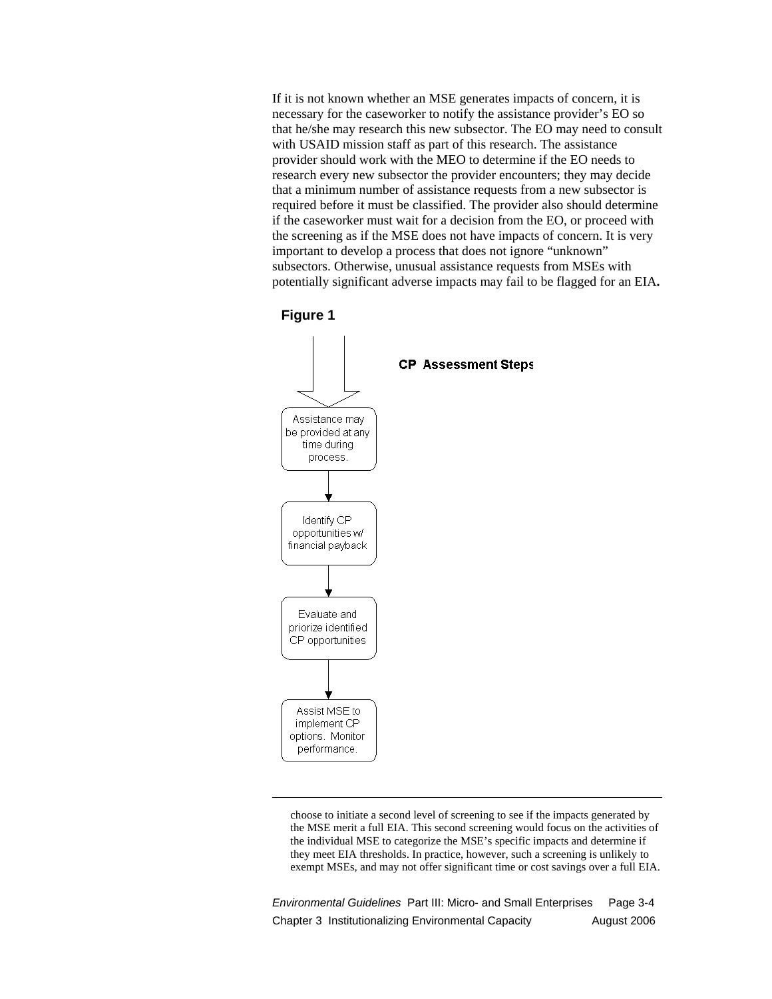If it is not known whether an MSE generates impacts of concern, it is necessary for the caseworker to notify the assistance provider's EO so that he/she may research this new subsector. The EO may need to consult with USAID mission staff as part of this research. The assistance provider should work with the MEO to determine if the EO needs to research every new subsector the provider encounters; they may decide that a minimum number of assistance requests from a new subsector is required before it must be classified. The provider also should determine if the caseworker must wait for a decision from the EO, or proceed with the screening as if the MSE does not have impacts of concern. It is very important to develop a process that does not ignore "unknown" subsectors. Otherwise, unusual assistance requests from MSEs with potentially significant adverse impacts may fail to be flagged for an EIA**.**



 $\overline{a}$ 



choose to initiate a second level of screening to see if the impacts generated by the MSE merit a full EIA. This second screening would focus on the activities of the individual MSE to categorize the MSE's specific impacts and determine if they meet EIA thresholds. In practice, however, such a screening is unlikely to exempt MSEs, and may not offer significant time or cost savings over a full EIA.

*Environmental Guidelines* Part III: Micro- and Small Enterprises Page 3-4 Chapter 3 Institutionalizing Environmental Capacity August 2006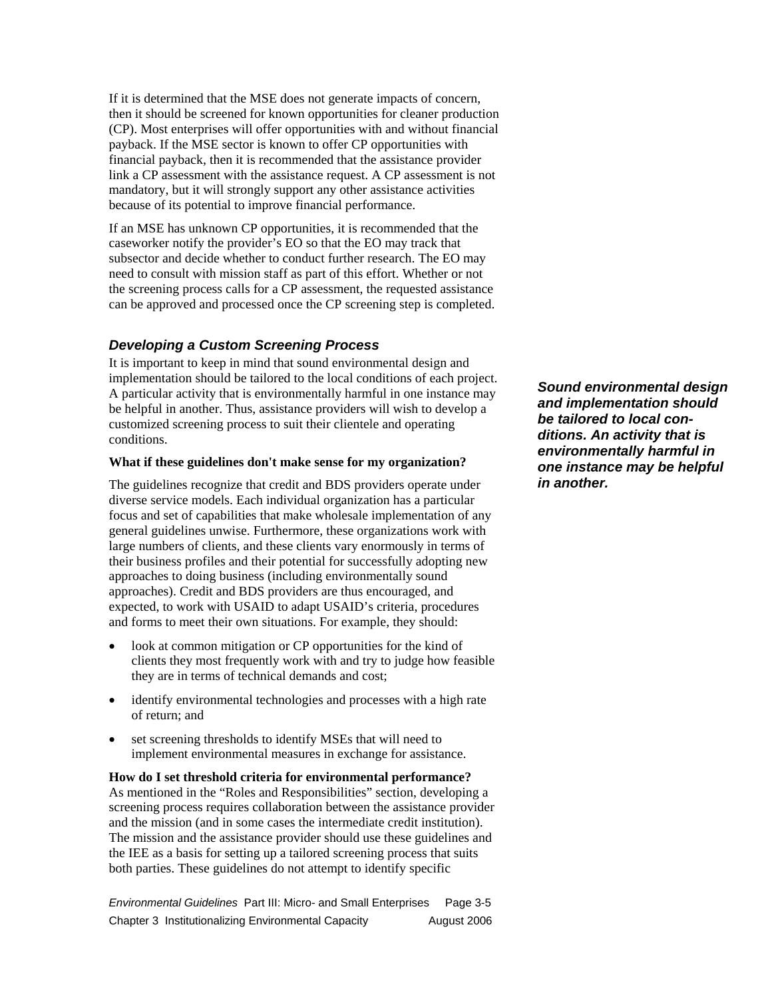If it is determined that the MSE does not generate impacts of concern, then it should be screened for known opportunities for cleaner production (CP). Most enterprises will offer opportunities with and without financial payback. If the MSE sector is known to offer CP opportunities with financial payback, then it is recommended that the assistance provider link a CP assessment with the assistance request. A CP assessment is not mandatory, but it will strongly support any other assistance activities because of its potential to improve financial performance.

If an MSE has unknown CP opportunities, it is recommended that the caseworker notify the provider's EO so that the EO may track that subsector and decide whether to conduct further research. The EO may need to consult with mission staff as part of this effort. Whether or not the screening process calls for a CP assessment, the requested assistance can be approved and processed once the CP screening step is completed.

#### *Developing a Custom Screening Process*

It is important to keep in mind that sound environmental design and implementation should be tailored to the local conditions of each project. A particular activity that is environmentally harmful in one instance may be helpful in another. Thus, assistance providers will wish to develop a customized screening process to suit their clientele and operating conditions.

#### **What if these guidelines don't make sense for my organization?**

The guidelines recognize that credit and BDS providers operate under diverse service models. Each individual organization has a particular focus and set of capabilities that make wholesale implementation of any general guidelines unwise. Furthermore, these organizations work with large numbers of clients, and these clients vary enormously in terms of their business profiles and their potential for successfully adopting new approaches to doing business (including environmentally sound approaches). Credit and BDS providers are thus encouraged, and expected, to work with USAID to adapt USAID's criteria, procedures and forms to meet their own situations. For example, they should:

- look at common mitigation or CP opportunities for the kind of clients they most frequently work with and try to judge how feasible they are in terms of technical demands and cost;
- identify environmental technologies and processes with a high rate of return; and
- set screening thresholds to identify MSEs that will need to implement environmental measures in exchange for assistance.

**How do I set threshold criteria for environmental performance?**  As mentioned in the "Roles and Responsibilities" section, developing a screening process requires collaboration between the assistance provider and the mission (and in some cases the intermediate credit institution). The mission and the assistance provider should use these guidelines and the IEE as a basis for setting up a tailored screening process that suits both parties. These guidelines do not attempt to identify specific

*Environmental Guidelines* Part III: Micro- and Small Enterprises Page 3-5 Chapter 3 Institutionalizing Environmental Capacity August 2006 *Sound environmental design and implementation should be tailored to local conditions. An activity that is environmentally harmful in one instance may be helpful in another.*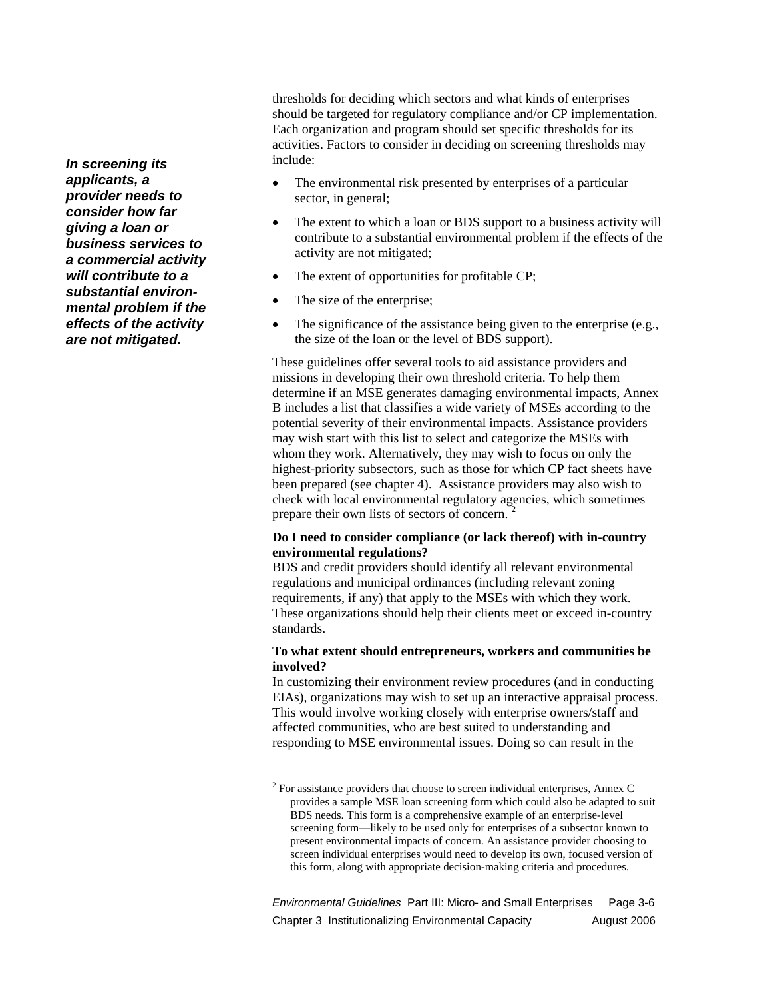*In screening its applicants, a provider needs to consider how far giving a loan or business services to a commercial activity will contribute to a substantial environmental problem if the effects of the activity are not mitigated.* 

thresholds for deciding which sectors and what kinds of enterprises should be targeted for regulatory compliance and/or CP implementation. Each organization and program should set specific thresholds for its activities. Factors to consider in deciding on screening thresholds may include:

- The environmental risk presented by enterprises of a particular sector, in general;
- The extent to which a loan or BDS support to a business activity will contribute to a substantial environmental problem if the effects of the activity are not mitigated;
- The extent of opportunities for profitable CP;
- The size of the enterprise;

 $\overline{a}$ 

• The significance of the assistance being given to the enterprise (e.g., the size of the loan or the level of BDS support).

These guidelines offer several tools to aid assistance providers and missions in developing their own threshold criteria. To help them determine if an MSE generates damaging environmental impacts, Annex B includes a list that classifies a wide variety of MSEs according to the potential severity of their environmental impacts. Assistance providers may wish start with this list to select and categorize the MSEs with whom they work. Alternatively, they may wish to focus on only the highest-priority subsectors, such as those for which CP fact sheets have been prepared (see chapter 4). Assistance providers may also wish to check with local environmental regulatory agencies, which sometimes prepare their own lists of sectors of concern.<sup>2</sup>

#### **Do I need to consider compliance (or lack thereof) with in-country environmental regulations?**

BDS and credit providers should identify all relevant environmental regulations and municipal ordinances (including relevant zoning requirements, if any) that apply to the MSEs with which they work. These organizations should help their clients meet or exceed in-country standards.

#### **To what extent should entrepreneurs, workers and communities be involved?**

In customizing their environment review procedures (and in conducting EIAs), organizations may wish to set up an interactive appraisal process. This would involve working closely with enterprise owners/staff and affected communities, who are best suited to understanding and responding to MSE environmental issues. Doing so can result in the

*Environmental Guidelines* Part III: Micro- and Small Enterprises Page 3-6 Chapter 3 Institutionalizing Environmental Capacity **August 2006** 

 $2^2$  For assistance providers that choose to screen individual enterprises, Annex C provides a sample MSE loan screening form which could also be adapted to suit BDS needs. This form is a comprehensive example of an enterprise-level screening form—likely to be used only for enterprises of a subsector known to present environmental impacts of concern. An assistance provider choosing to screen individual enterprises would need to develop its own, focused version of this form, along with appropriate decision-making criteria and procedures.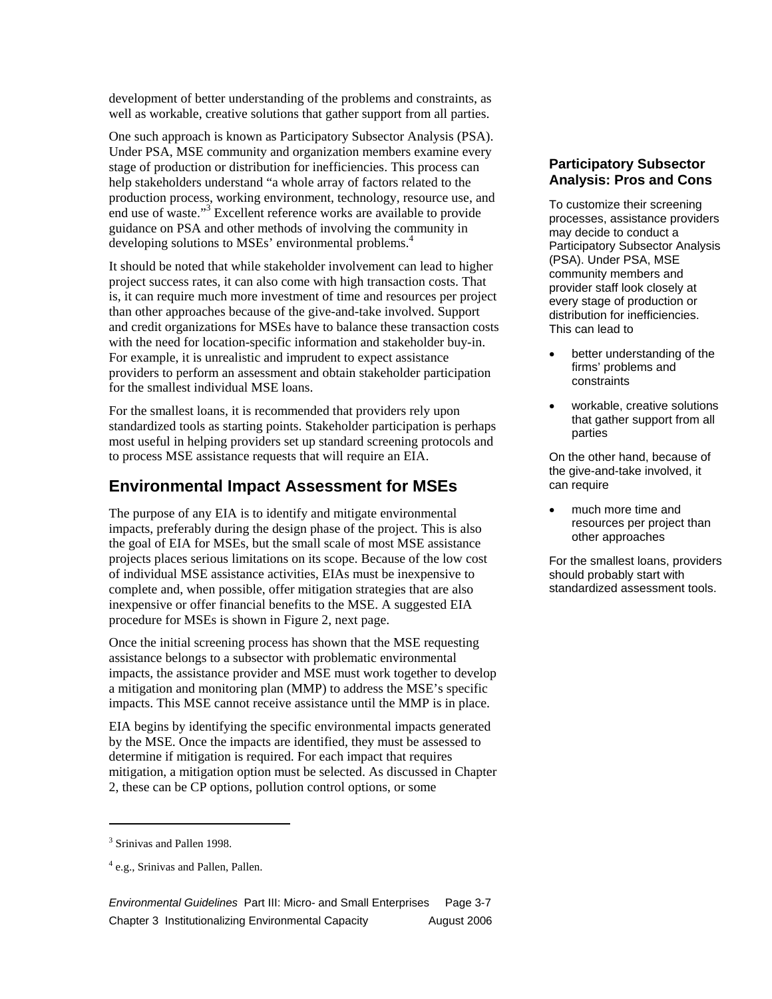development of better understanding of the problems and constraints, as well as workable, creative solutions that gather support from all parties.

One such approach is known as Participatory Subsector Analysis (PSA). Under PSA, MSE community and organization members examine every stage of production or distribution for inefficiencies. This process can help stakeholders understand "a whole array of factors related to the production process, working environment, technology, resource use, and end use of waste."<sup>3</sup> Excellent reference works are available to provide guidance on PSA and other methods of involving the community in developing solutions to MSEs' environmental problems.<sup>4</sup>

It should be noted that while stakeholder involvement can lead to higher project success rates, it can also come with high transaction costs. That is, it can require much more investment of time and resources per project than other approaches because of the give-and-take involved. Support and credit organizations for MSEs have to balance these transaction costs with the need for location-specific information and stakeholder buy-in. For example, it is unrealistic and imprudent to expect assistance providers to perform an assessment and obtain stakeholder participation for the smallest individual MSE loans.

For the smallest loans, it is recommended that providers rely upon standardized tools as starting points. Stakeholder participation is perhaps most useful in helping providers set up standard screening protocols and to process MSE assistance requests that will require an EIA.

### **Environmental Impact Assessment for MSEs**

The purpose of any EIA is to identify and mitigate environmental impacts, preferably during the design phase of the project. This is also the goal of EIA for MSEs, but the small scale of most MSE assistance projects places serious limitations on its scope. Because of the low cost of individual MSE assistance activities, EIAs must be inexpensive to complete and, when possible, offer mitigation strategies that are also inexpensive or offer financial benefits to the MSE. A suggested EIA procedure for MSEs is shown in Figure 2, next page.

Once the initial screening process has shown that the MSE requesting assistance belongs to a subsector with problematic environmental impacts, the assistance provider and MSE must work together to develop a mitigation and monitoring plan (MMP) to address the MSE's specific impacts. This MSE cannot receive assistance until the MMP is in place.

EIA begins by identifying the specific environmental impacts generated by the MSE. Once the impacts are identified, they must be assessed to determine if mitigation is required. For each impact that requires mitigation, a mitigation option must be selected. As discussed in Chapter 2, these can be CP options, pollution control options, or some

 $\overline{a}$ 

*Environmental Guidelines* Part III: Micro- and Small Enterprises Page 3-7 Chapter 3 Institutionalizing Environmental Capacity August 2006

#### **Participatory Subsector Analysis: Pros and Cons**

To customize their screening processes, assistance providers may decide to conduct a Participatory Subsector Analysis (PSA). Under PSA, MSE community members and provider staff look closely at every stage of production or distribution for inefficiencies. This can lead to

- better understanding of the firms' problems and constraints
- workable, creative solutions that gather support from all parties

On the other hand, because of the give-and-take involved, it can require

• much more time and resources per project than other approaches

For the smallest loans, providers should probably start with standardized assessment tools.

<sup>&</sup>lt;sup>3</sup> Srinivas and Pallen 1998.

<sup>&</sup>lt;sup>4</sup> e.g., Srinivas and Pallen, Pallen.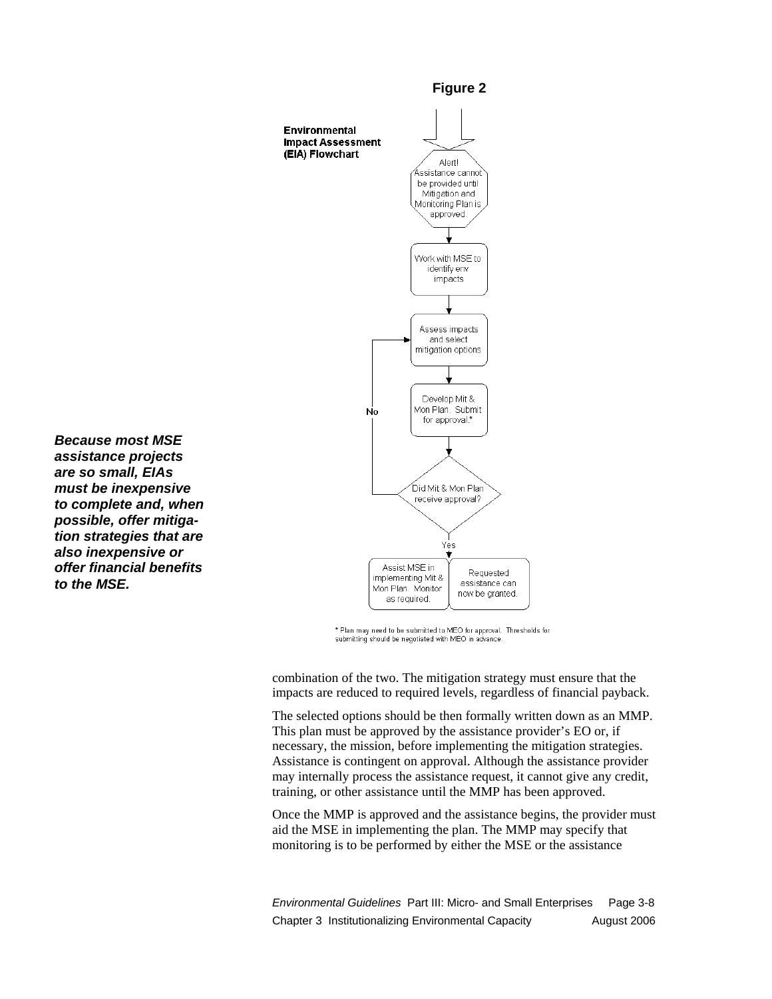

\* Plan may need to be submitted to MEO for approval. Thresholds for submitting should be negotiated with MEO in advance

combination of the two. The mitigation strategy must ensure that the impacts are reduced to required levels, regardless of financial payback.

The selected options should be then formally written down as an MMP. This plan must be approved by the assistance provider's EO or, if necessary, the mission, before implementing the mitigation strategies. Assistance is contingent on approval. Although the assistance provider may internally process the assistance request, it cannot give any credit, training, or other assistance until the MMP has been approved.

Once the MMP is approved and the assistance begins, the provider must aid the MSE in implementing the plan. The MMP may specify that monitoring is to be performed by either the MSE or the assistance

*Environmental Guidelines* Part III: Micro- and Small Enterprises Page 3-8 Chapter 3 Institutionalizing Environmental Capacity **August 2006** 

*Because most MSE assistance projects are so small, EIAs must be inexpensive to complete and, when possible, offer mitigation strategies that are also inexpensive or offer financial benefits to the MSE.*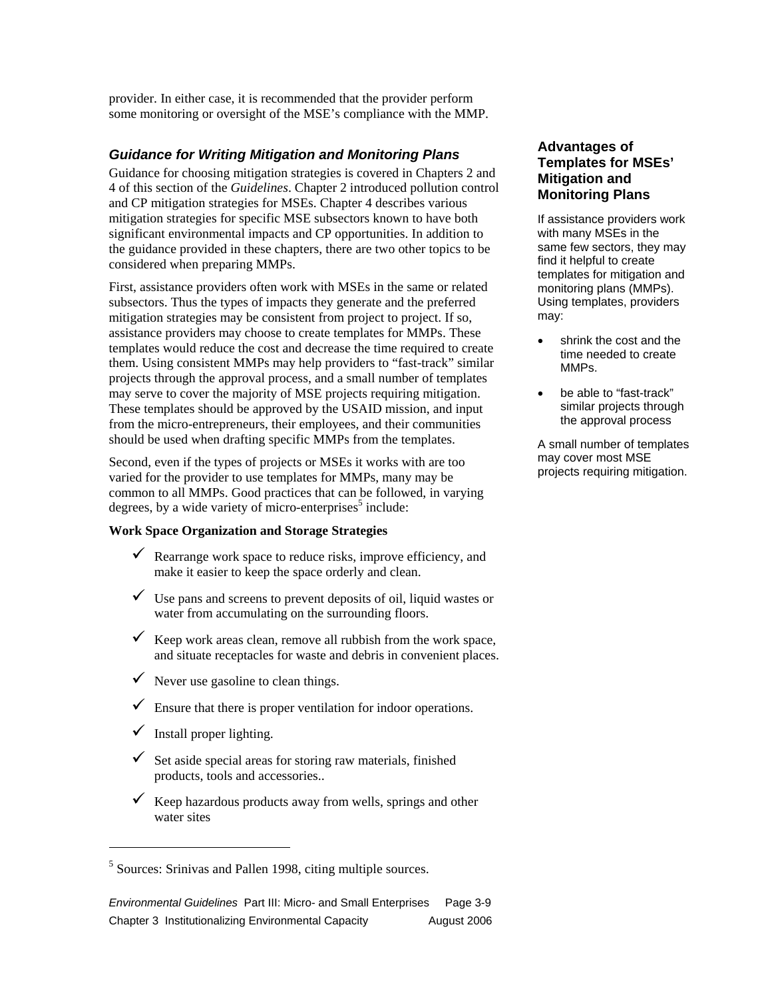provider. In either case, it is recommended that the provider perform some monitoring or oversight of the MSE's compliance with the MMP.

#### *Guidance for Writing Mitigation and Monitoring Plans*

Guidance for choosing mitigation strategies is covered in Chapters 2 and 4 of this section of the *Guidelines*. Chapter 2 introduced pollution control and CP mitigation strategies for MSEs. Chapter 4 describes various mitigation strategies for specific MSE subsectors known to have both significant environmental impacts and CP opportunities. In addition to the guidance provided in these chapters, there are two other topics to be considered when preparing MMPs.

First, assistance providers often work with MSEs in the same or related subsectors. Thus the types of impacts they generate and the preferred mitigation strategies may be consistent from project to project. If so, assistance providers may choose to create templates for MMPs. These templates would reduce the cost and decrease the time required to create them. Using consistent MMPs may help providers to "fast-track" similar projects through the approval process, and a small number of templates may serve to cover the majority of MSE projects requiring mitigation. These templates should be approved by the USAID mission, and input from the micro-entrepreneurs, their employees, and their communities should be used when drafting specific MMPs from the templates.

Second, even if the types of projects or MSEs it works with are too varied for the provider to use templates for MMPs, many may be common to all MMPs. Good practices that can be followed, in varying degrees, by a wide variety of micro-enterprises<sup>5</sup> include:

#### **Work Space Organization and Storage Strategies**

- $\checkmark$  Rearrange work space to reduce risks, improve efficiency, and make it easier to keep the space orderly and clean.
- $\checkmark$  Use pans and screens to prevent deposits of oil, liquid wastes or water from accumulating on the surrounding floors.
- $\checkmark$  Keep work areas clean, remove all rubbish from the work space, and situate receptacles for waste and debris in convenient places.
- $\checkmark$  Never use gasoline to clean things.
- $\checkmark$  Ensure that there is proper ventilation for indoor operations.
- $\checkmark$  Install proper lighting.

 $\overline{a}$ 

- $\checkmark$  Set aside special areas for storing raw materials, finished products, tools and accessories..
- $\checkmark$  Keep hazardous products away from wells, springs and other water sites

*Environmental Guidelines* Part III: Micro- and Small Enterprises Page 3-9 Chapter 3 Institutionalizing Environmental Capacity **August 2006** 

#### **Advantages of Templates for MSEs' Mitigation and Monitoring Plans**

If assistance providers work with many MSEs in the same few sectors, they may find it helpful to create templates for mitigation and monitoring plans (MMPs). Using templates, providers may:

- shrink the cost and the time needed to create MMPs.
- be able to "fast-track" similar projects through the approval process

A small number of templates may cover most MSE projects requiring mitigation.

<sup>&</sup>lt;sup>5</sup> Sources: Srinivas and Pallen 1998, citing multiple sources.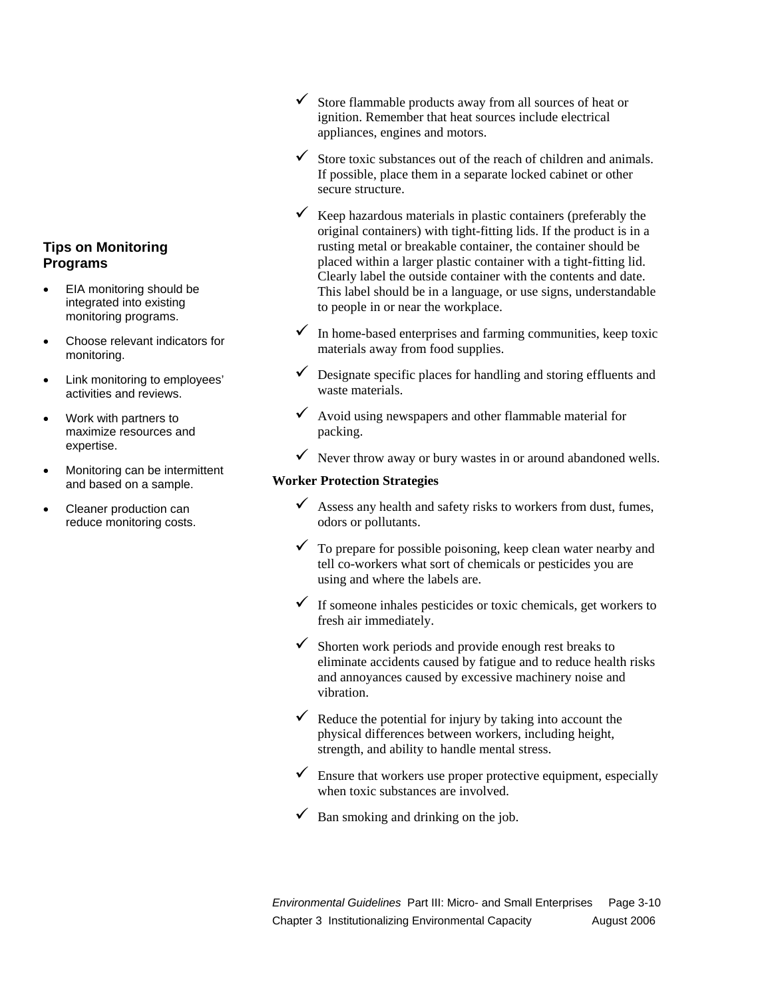#### **Tips on Monitoring Programs**

- EIA monitoring should be integrated into existing monitoring programs.
- Choose relevant indicators for monitoring.
- Link monitoring to employees' activities and reviews.
- Work with partners to maximize resources and expertise.
- Monitoring can be intermittent and based on a sample.
- Cleaner production can reduce monitoring costs.
- $\checkmark$  Store flammable products away from all sources of heat or ignition. Remember that heat sources include electrical appliances, engines and motors.
- Store toxic substances out of the reach of children and animals. If possible, place them in a separate locked cabinet or other secure structure.
- $\checkmark$  Keep hazardous materials in plastic containers (preferably the original containers) with tight-fitting lids. If the product is in a rusting metal or breakable container, the container should be placed within a larger plastic container with a tight-fitting lid. Clearly label the outside container with the contents and date. This label should be in a language, or use signs, understandable to people in or near the workplace.
- $\checkmark$  In home-based enterprises and farming communities, keep toxic materials away from food supplies.
- $\checkmark$  Designate specific places for handling and storing effluents and waste materials.
- $\checkmark$  Avoid using newspapers and other flammable material for packing.
- $\checkmark$  Never throw away or bury wastes in or around abandoned wells.

#### **Worker Protection Strategies**

- $\checkmark$  Assess any health and safety risks to workers from dust, fumes, odors or pollutants.
- $\checkmark$  To prepare for possible poisoning, keep clean water nearby and tell co-workers what sort of chemicals or pesticides you are using and where the labels are.
- $\checkmark$  If someone inhales pesticides or toxic chemicals, get workers to fresh air immediately.
- $\checkmark$  Shorten work periods and provide enough rest breaks to eliminate accidents caused by fatigue and to reduce health risks and annoyances caused by excessive machinery noise and vibration.
- $\checkmark$  Reduce the potential for injury by taking into account the physical differences between workers, including height, strength, and ability to handle mental stress.
- $\checkmark$  Ensure that workers use proper protective equipment, especially when toxic substances are involved.
- $\checkmark$  Ban smoking and drinking on the job.

*Environmental Guidelines* Part III: Micro- and Small Enterprises Page 3-10 Chapter 3 Institutionalizing Environmental Capacity August 2006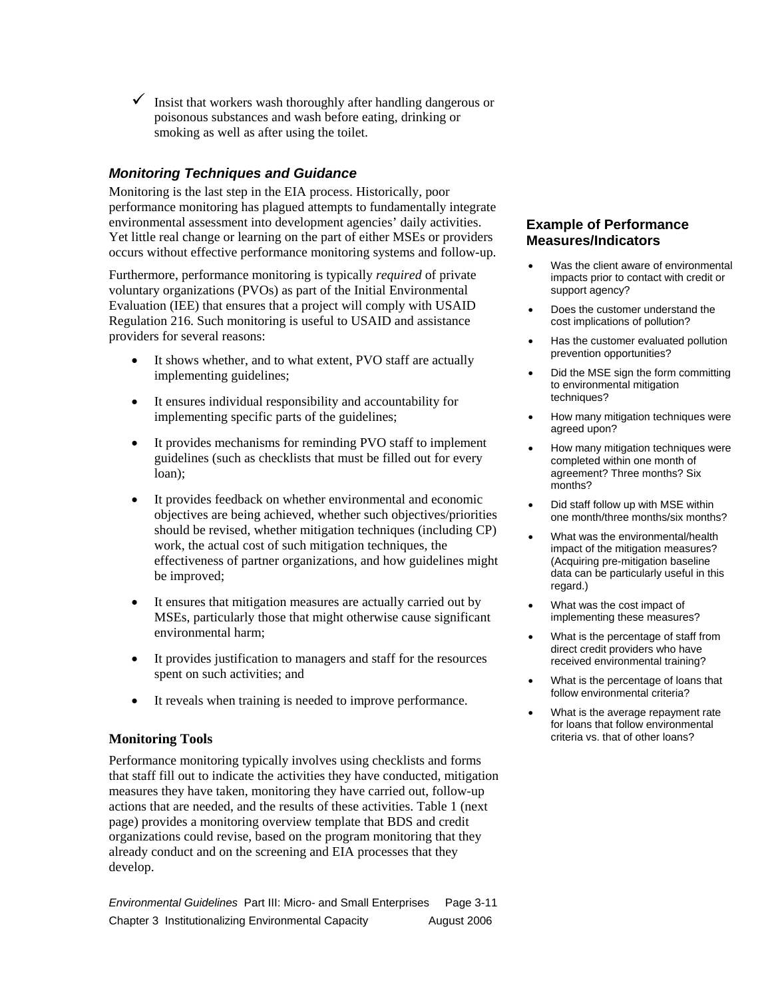$\checkmark$  Insist that workers wash thoroughly after handling dangerous or poisonous substances and wash before eating, drinking or smoking as well as after using the toilet.

### *Monitoring Techniques and Guidance*

Monitoring is the last step in the EIA process. Historically, poor performance monitoring has plagued attempts to fundamentally integrate environmental assessment into development agencies' daily activities. Yet little real change or learning on the part of either MSEs or providers occurs without effective performance monitoring systems and follow-up.

Furthermore, performance monitoring is typically *required* of private voluntary organizations (PVOs) as part of the Initial Environmental Evaluation (IEE) that ensures that a project will comply with USAID Regulation 216. Such monitoring is useful to USAID and assistance providers for several reasons:

- It shows whether, and to what extent, PVO staff are actually implementing guidelines;
- It ensures individual responsibility and accountability for implementing specific parts of the guidelines;
- It provides mechanisms for reminding PVO staff to implement guidelines (such as checklists that must be filled out for every loan);
- It provides feedback on whether environmental and economic objectives are being achieved, whether such objectives/priorities should be revised, whether mitigation techniques (including CP) work, the actual cost of such mitigation techniques, the effectiveness of partner organizations, and how guidelines might be improved;
- It ensures that mitigation measures are actually carried out by MSEs, particularly those that might otherwise cause significant environmental harm;
- It provides justification to managers and staff for the resources spent on such activities; and
- It reveals when training is needed to improve performance.

#### **Monitoring Tools**

Performance monitoring typically involves using checklists and forms that staff fill out to indicate the activities they have conducted, mitigation measures they have taken, monitoring they have carried out, follow-up actions that are needed, and the results of these activities. Table 1 (next page) provides a monitoring overview template that BDS and credit organizations could revise, based on the program monitoring that they already conduct and on the screening and EIA processes that they develop.

*Environmental Guidelines* Part III: Micro- and Small Enterprises Page 3-11 Chapter 3 Institutionalizing Environmental Capacity August 2006

#### **Example of Performance Measures/Indicators**

- Was the client aware of environmental impacts prior to contact with credit or support agency?
- Does the customer understand the cost implications of pollution?
- Has the customer evaluated pollution prevention opportunities?
- Did the MSE sign the form committing to environmental mitigation techniques?
- How many mitigation techniques were agreed upon?
- How many mitigation techniques were completed within one month of agreement? Three months? Six months?
- Did staff follow up with MSE within one month/three months/six months?
- What was the environmental/health impact of the mitigation measures? (Acquiring pre-mitigation baseline data can be particularly useful in this regard.)
- What was the cost impact of implementing these measures?
- What is the percentage of staff from direct credit providers who have received environmental training?
- What is the percentage of loans that follow environmental criteria?
- What is the average repayment rate for loans that follow environmental criteria vs. that of other loans?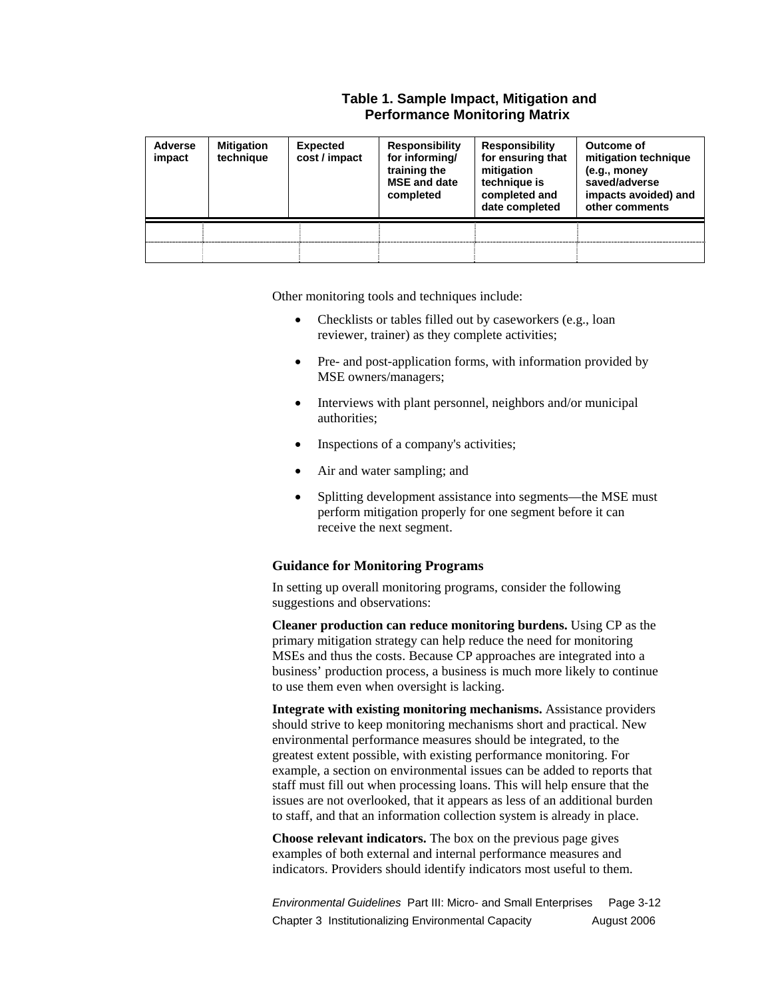#### **Table 1. Sample Impact, Mitigation and Performance Monitoring Matrix**

| <b>Adverse</b><br>impact | <b>Mitigation</b><br>technique | <b>Expected</b><br>cost / impact | <b>Responsibility</b><br>for informing/<br>training the<br><b>MSE</b> and date<br>completed | <b>Responsibility</b><br>for ensuring that<br>mitigation<br>technique is<br>completed and<br>date completed | Outcome of<br>mitigation technique<br>(e.g., money<br>saved/adverse<br>impacts avoided) and<br>other comments |
|--------------------------|--------------------------------|----------------------------------|---------------------------------------------------------------------------------------------|-------------------------------------------------------------------------------------------------------------|---------------------------------------------------------------------------------------------------------------|
|                          |                                |                                  |                                                                                             |                                                                                                             |                                                                                                               |
|                          |                                |                                  |                                                                                             |                                                                                                             |                                                                                                               |

Other monitoring tools and techniques include:

- Checklists or tables filled out by caseworkers (e.g., loan reviewer, trainer) as they complete activities;
- Pre- and post-application forms, with information provided by MSE owners/managers;
- Interviews with plant personnel, neighbors and/or municipal authorities;
- Inspections of a company's activities;
- Air and water sampling; and
- Splitting development assistance into segments—the MSE must perform mitigation properly for one segment before it can receive the next segment.

#### **Guidance for Monitoring Programs**

In setting up overall monitoring programs, consider the following suggestions and observations:

**Cleaner production can reduce monitoring burdens.** Using CP as the primary mitigation strategy can help reduce the need for monitoring MSEs and thus the costs. Because CP approaches are integrated into a business' production process, a business is much more likely to continue to use them even when oversight is lacking.

**Integrate with existing monitoring mechanisms.** Assistance providers should strive to keep monitoring mechanisms short and practical. New environmental performance measures should be integrated, to the greatest extent possible, with existing performance monitoring. For example, a section on environmental issues can be added to reports that staff must fill out when processing loans. This will help ensure that the issues are not overlooked, that it appears as less of an additional burden to staff, and that an information collection system is already in place.

**Choose relevant indicators.** The box on the previous page gives examples of both external and internal performance measures and indicators. Providers should identify indicators most useful to them.

*Environmental Guidelines* Part III: Micro- and Small Enterprises Page 3-12 Chapter 3 Institutionalizing Environmental Capacity August 2006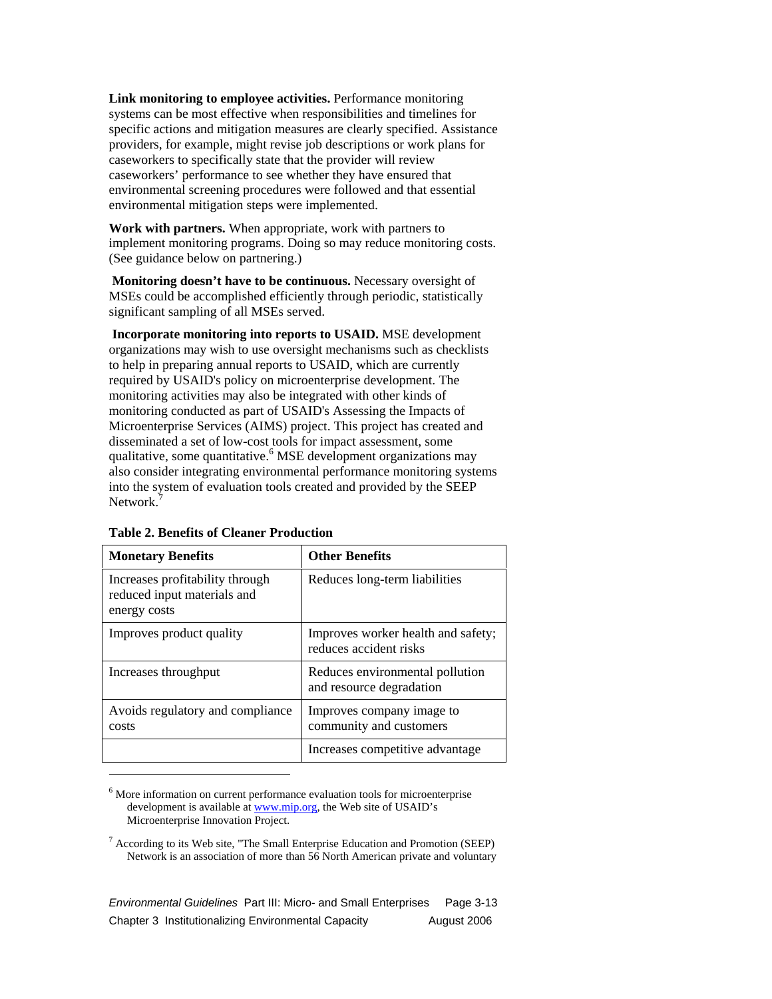**Link monitoring to employee activities.** Performance monitoring systems can be most effective when responsibilities and timelines for specific actions and mitigation measures are clearly specified. Assistance providers, for example, might revise job descriptions or work plans for caseworkers to specifically state that the provider will review caseworkers' performance to see whether they have ensured that environmental screening procedures were followed and that essential environmental mitigation steps were implemented.

**Work with partners.** When appropriate, work with partners to implement monitoring programs. Doing so may reduce monitoring costs. (See guidance below on partnering.)

 **Monitoring doesn't have to be continuous.** Necessary oversight of MSEs could be accomplished efficiently through periodic, statistically significant sampling of all MSEs served.

 **Incorporate monitoring into reports to USAID.** MSE development organizations may wish to use oversight mechanisms such as checklists to help in preparing annual reports to USAID, which are currently required by USAID's policy on microenterprise development. The monitoring activities may also be integrated with other kinds of monitoring conducted as part of USAID's Assessing the Impacts of Microenterprise Services (AIMS) project. This project has created and disseminated a set of low-cost tools for impact assessment, some qualitative, some quantitative.<sup>6</sup> MSE development organizations may also consider integrating environmental performance monitoring systems into the system of evaluation tools created and provided by the SEEP Network.<sup>7</sup>

| <b>Monetary Benefits</b>                                                       | <b>Other Benefits</b>                                        |
|--------------------------------------------------------------------------------|--------------------------------------------------------------|
| Increases profitability through<br>reduced input materials and<br>energy costs | Reduces long-term liabilities                                |
| Improves product quality                                                       | Improves worker health and safety;<br>reduces accident risks |
| Increases throughput                                                           | Reduces environmental pollution<br>and resource degradation  |
| Avoids regulatory and compliance<br>costs                                      | Improves company image to<br>community and customers         |
|                                                                                | Increases competitive advantage                              |

**Table 2. Benefits of Cleaner Production**

 $\overline{a}$ 

<sup>6</sup> More information on current performance evaluation tools for microenterprise development is available at www.mip.org, the Web site of USAID's Microenterprise Innovation Project.

 $7$  According to its Web site, "The Small Enterprise Education and Promotion (SEEP) Network is an association of more than 56 North American private and voluntary

*Environmental Guidelines* Part III: Micro- and Small Enterprises Page 3-13 Chapter 3 Institutionalizing Environmental Capacity August 2006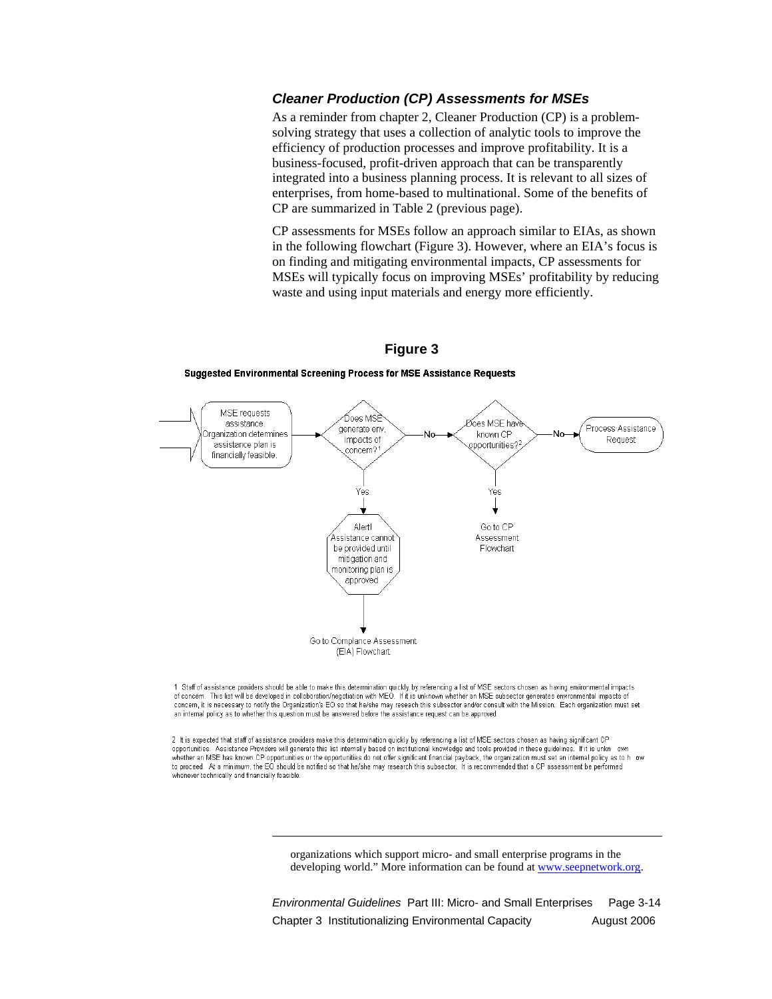#### *Cleaner Production (CP) Assessments for MSEs*

As a reminder from chapter 2, Cleaner Production (CP) is a problemsolving strategy that uses a collection of analytic tools to improve the efficiency of production processes and improve profitability. It is a business-focused, profit-driven approach that can be transparently integrated into a business planning process. It is relevant to all sizes of enterprises, from home-based to multinational. Some of the benefits of CP are summarized in Table 2 (previous page).

CP assessments for MSEs follow an approach similar to EIAs, as shown in the following flowchart (Figure 3). However, where an EIA's focus is on finding and mitigating environmental impacts, CP assessments for MSEs will typically focus on improving MSEs' profitability by reducing waste and using input materials and energy more efficiently.

### **Figure 3**

**Suggested Environmental Screening Process for MSE Assistance Requests** 



1 Staff of assistance providers should be able to make this determination quickly by referencing a list of MSE sectors chosen as having environmental impacts of concern. This list will be developed in colloboration/negotiation with MEO. If it is unknown whether an MSE subsector generates environmental impacts of concern, it is necessary to notify the Organization's EO so that he/she may reseach this subsector and/or consult with the Mission. Each organization must set an internal policy as to whether this question must be answered before the assistance request can be approved

2 It is expected that staff of assistance providers make this determination quickly by referencing a list of MSE sectors chosen as having significant CP opportunities. Assistance Providers will generate this list internally based on institutional knowledge and tools provided in these guidelines. If it is unkn own whether an MSE has known CP opportunities or the opportunities do not offer significant financial payback, the organization must set an internal policy as to how to proceed. At a minimum, the EO should be notified so that he/she may research this subsector. It is recommended that a CP assessment be performed whenever technically and financially feasible

 $\overline{a}$ 

organizations which support micro- and small enterprise programs in the developing world." More information can be found at **www.seepnetwork.org**.

*Environmental Guidelines* Part III: Micro- and Small Enterprises Page 3-14 Chapter 3 Institutionalizing Environmental Capacity **August 2006**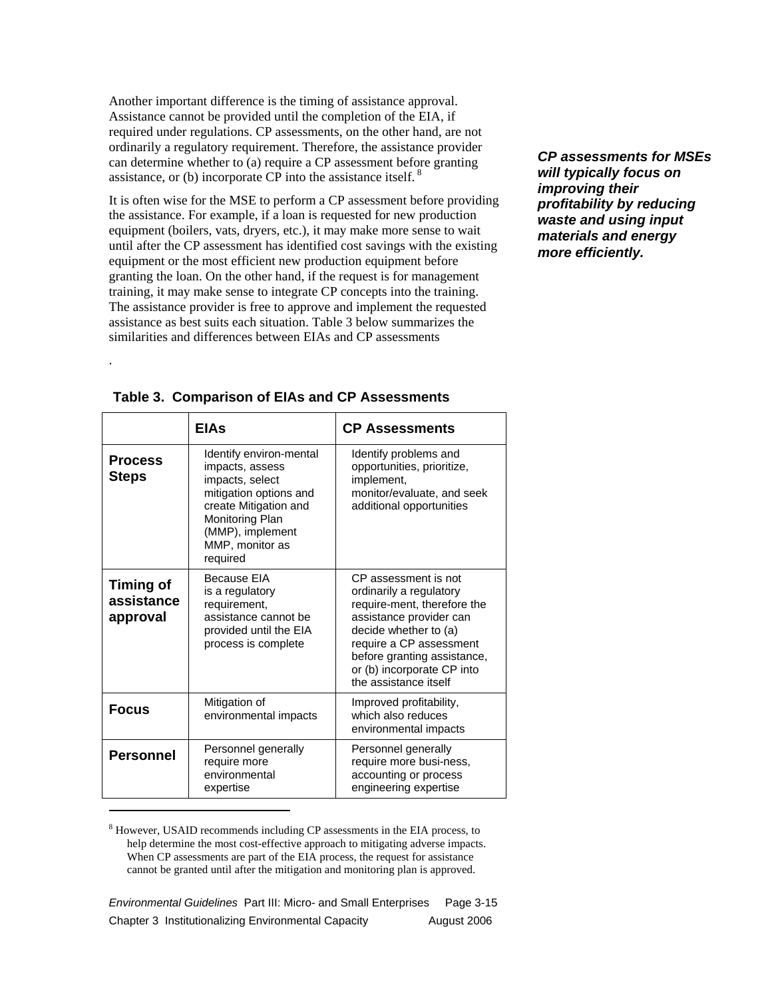Another important difference is the timing of assistance approval. Assistance cannot be provided until the completion of the EIA, if required under regulations. CP assessments, on the other hand, are not ordinarily a regulatory requirement. Therefore, the assistance provider can determine whether to (a) require a CP assessment before granting assistance, or (b) incorporate CP into the assistance itself.<sup>8</sup>

It is often wise for the MSE to perform a CP assessment before providing the assistance. For example, if a loan is requested for new production equipment (boilers, vats, dryers, etc.), it may make more sense to wait until after the CP assessment has identified cost savings with the existing equipment or the most efficient new production equipment before granting the loan. On the other hand, if the request is for management training, it may make sense to integrate CP concepts into the training. The assistance provider is free to approve and implement the requested assistance as best suits each situation. Table 3 below summarizes the similarities and differences between EIAs and CP assessments

*CP assessments for MSEs will typically focus on improving their profitability by reducing waste and using input materials and energy more efficiently.* 

|                                            | <b>EIAs</b>                                                                                                                                                                            | <b>CP Assessments</b>                                                                                                                                                                                                                               |
|--------------------------------------------|----------------------------------------------------------------------------------------------------------------------------------------------------------------------------------------|-----------------------------------------------------------------------------------------------------------------------------------------------------------------------------------------------------------------------------------------------------|
| <b>Process</b><br><b>Steps</b>             | Identify environ-mental<br>impacts, assess<br>impacts, select<br>mitigation options and<br>create Mitigation and<br>Monitoring Plan<br>(MMP), implement<br>MMP, monitor as<br>required | Identify problems and<br>opportunities, prioritize,<br>implement,<br>monitor/evaluate, and seek<br>additional opportunities                                                                                                                         |
| <b>Timing of</b><br>assistance<br>approval | Because FIA<br>is a regulatory<br>requirement,<br>assistance cannot be<br>provided until the EIA<br>process is complete                                                                | CP assessment is not<br>ordinarily a regulatory<br>require-ment, therefore the<br>assistance provider can<br>decide whether to (a)<br>require a CP assessment<br>before granting assistance,<br>or (b) incorporate CP into<br>the assistance itself |
| <b>Focus</b>                               | Mitigation of<br>environmental impacts                                                                                                                                                 | Improved profitability,<br>which also reduces<br>environmental impacts                                                                                                                                                                              |
| <b>Personnel</b>                           | Personnel generally<br>require more<br>environmental<br>expertise                                                                                                                      | Personnel generally<br>require more busi-ness,<br>accounting or process<br>engineering expertise                                                                                                                                                    |

**Table 3. Comparison of EIAs and CP Assessments** 

.

<sup>8</sup> However, USAID recommends including CP assessments in the EIA process, to help determine the most cost-effective approach to mitigating adverse impacts. When CP assessments are part of the EIA process, the request for assistance cannot be granted until after the mitigation and monitoring plan is approved.

*Environmental Guidelines* Part III: Micro- and Small Enterprises Page 3-15 Chapter 3 Institutionalizing Environmental Capacity August 2006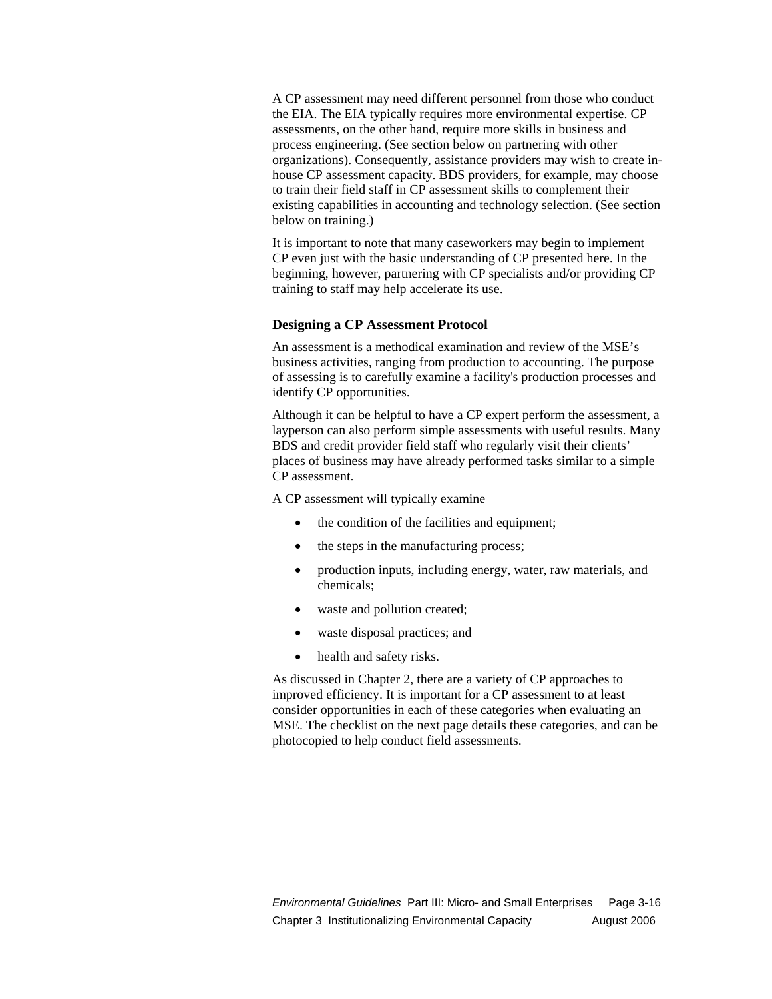A CP assessment may need different personnel from those who conduct the EIA. The EIA typically requires more environmental expertise. CP assessments, on the other hand, require more skills in business and process engineering. (See section below on partnering with other organizations). Consequently, assistance providers may wish to create inhouse CP assessment capacity. BDS providers, for example, may choose to train their field staff in CP assessment skills to complement their existing capabilities in accounting and technology selection. (See section below on training.)

It is important to note that many caseworkers may begin to implement CP even just with the basic understanding of CP presented here. In the beginning, however, partnering with CP specialists and/or providing CP training to staff may help accelerate its use.

#### **Designing a CP Assessment Protocol**

An assessment is a methodical examination and review of the MSE's business activities, ranging from production to accounting. The purpose of assessing is to carefully examine a facility's production processes and identify CP opportunities.

Although it can be helpful to have a CP expert perform the assessment, a layperson can also perform simple assessments with useful results. Many BDS and credit provider field staff who regularly visit their clients' places of business may have already performed tasks similar to a simple CP assessment.

A CP assessment will typically examine

- the condition of the facilities and equipment;
- the steps in the manufacturing process;
- production inputs, including energy, water, raw materials, and chemicals;
- waste and pollution created;
- waste disposal practices; and
- health and safety risks.

As discussed in Chapter 2, there are a variety of CP approaches to improved efficiency. It is important for a CP assessment to at least consider opportunities in each of these categories when evaluating an MSE. The checklist on the next page details these categories, and can be photocopied to help conduct field assessments.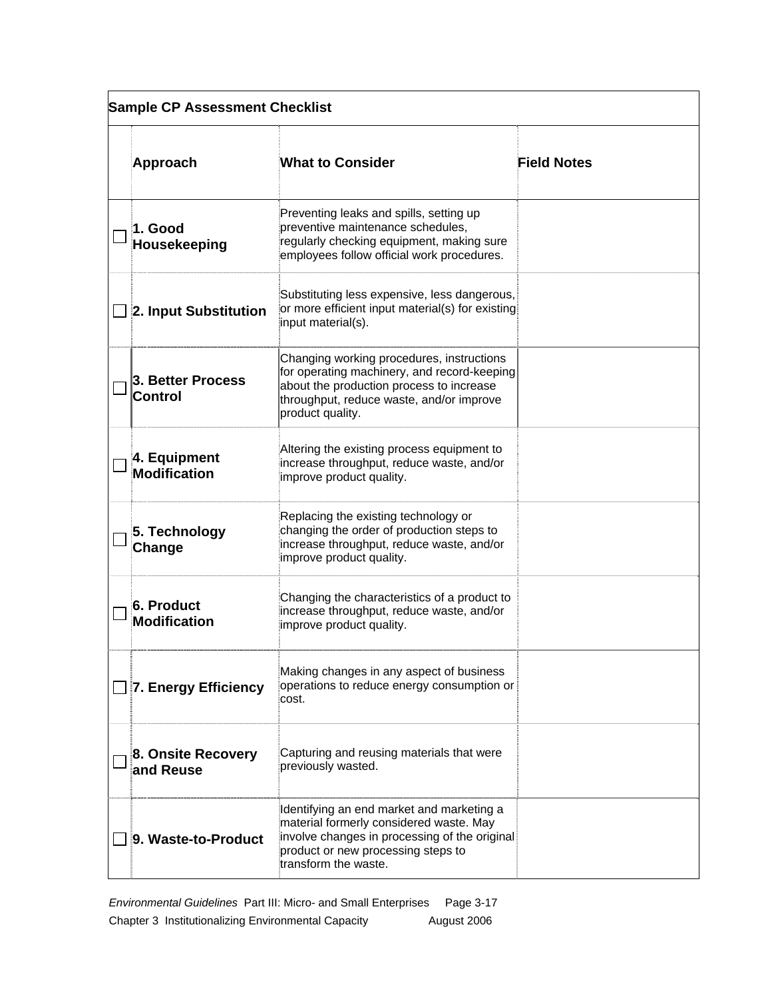| <b>Sample CP Assessment Checklist</b> |                                          |                                                                                                                                                                                                      |                    |
|---------------------------------------|------------------------------------------|------------------------------------------------------------------------------------------------------------------------------------------------------------------------------------------------------|--------------------|
|                                       | Approach                                 | <b>What to Consider</b>                                                                                                                                                                              | <b>Field Notes</b> |
|                                       | 1. Good<br>Housekeeping                  | Preventing leaks and spills, setting up<br>preventive maintenance schedules,<br>regularly checking equipment, making sure<br>employees follow official work procedures.                              |                    |
|                                       | 2. Input Substitution                    | Substituting less expensive, less dangerous,<br>or more efficient input material(s) for existing<br>input material(s).                                                                               |                    |
|                                       | 3. Better Process<br><b>Control</b>      | Changing working procedures, instructions<br>for operating machinery, and record-keeping<br>about the production process to increase<br>throughput, reduce waste, and/or improve<br>product quality. |                    |
|                                       | 4. Equipment<br><b>Modification</b>      | Altering the existing process equipment to<br>increase throughput, reduce waste, and/or<br>improve product quality.                                                                                  |                    |
|                                       | 5. Technology<br>Change                  | Replacing the existing technology or<br>changing the order of production steps to<br>increase throughput, reduce waste, and/or<br>improve product quality.                                           |                    |
|                                       | <b>6. Product</b><br><b>Modification</b> | Changing the characteristics of a product to<br>increase throughput, reduce waste, and/or<br>improve product quality.                                                                                |                    |
|                                       | 7. Energy Efficiency                     | Making changes in any aspect of business<br>operations to reduce energy consumption or<br>cost.                                                                                                      |                    |
|                                       | 8. Onsite Recovery<br>and Reuse          | Capturing and reusing materials that were<br>previously wasted.                                                                                                                                      |                    |
|                                       | 9. Waste-to-Product                      | Identifying an end market and marketing a<br>material formerly considered waste. May<br>involve changes in processing of the original<br>product or new processing steps to<br>transform the waste.  |                    |

*Environmental Guidelines* Part III: Micro- and Small Enterprises Page 3-17 Chapter 3 Institutionalizing Environmental Capacity August 2006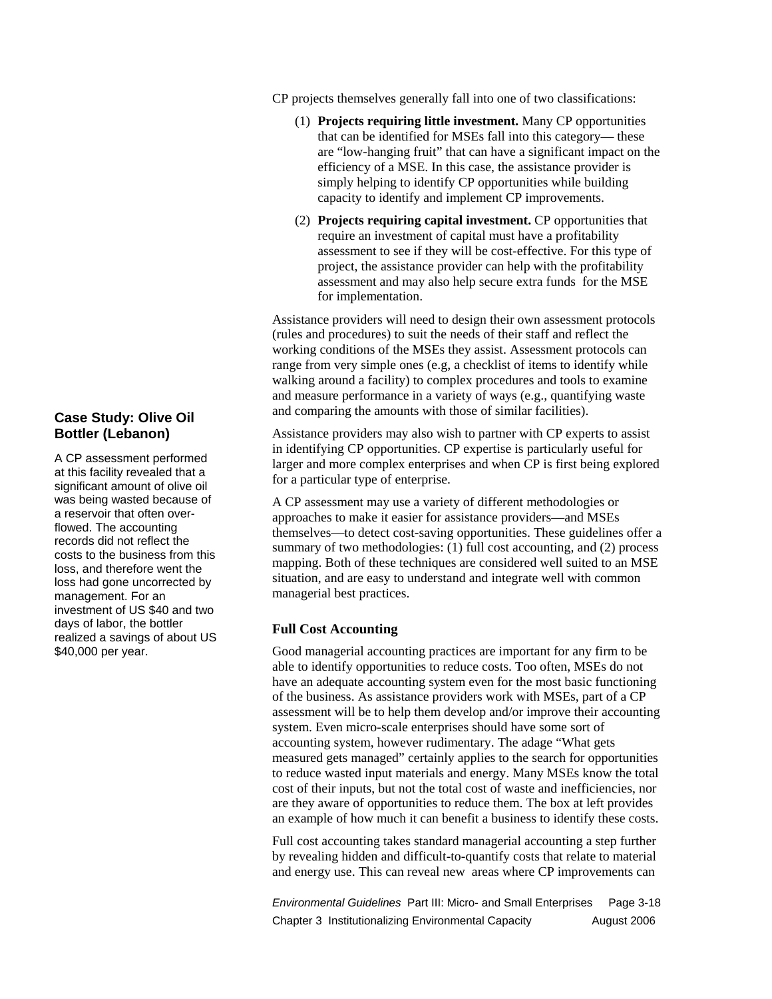#### **Case Study: Olive Oil Bottler (Lebanon)**

A CP assessment performed at this facility revealed that a significant amount of olive oil was being wasted because of a reservoir that often overflowed. The accounting records did not reflect the costs to the business from this loss, and therefore went the loss had gone uncorrected by management. For an investment of US \$40 and two days of labor, the bottler realized a savings of about US \$40,000 per year.

CP projects themselves generally fall into one of two classifications:

- (1) **Projects requiring little investment.** Many CP opportunities that can be identified for MSEs fall into this category— these are "low-hanging fruit" that can have a significant impact on the efficiency of a MSE. In this case, the assistance provider is simply helping to identify CP opportunities while building capacity to identify and implement CP improvements.
- (2) **Projects requiring capital investment.** CP opportunities that require an investment of capital must have a profitability assessment to see if they will be cost-effective. For this type of project, the assistance provider can help with the profitability assessment and may also help secure extra funds for the MSE for implementation.

Assistance providers will need to design their own assessment protocols (rules and procedures) to suit the needs of their staff and reflect the working conditions of the MSEs they assist. Assessment protocols can range from very simple ones (e.g, a checklist of items to identify while walking around a facility) to complex procedures and tools to examine and measure performance in a variety of ways (e.g., quantifying waste and comparing the amounts with those of similar facilities).

Assistance providers may also wish to partner with CP experts to assist in identifying CP opportunities. CP expertise is particularly useful for larger and more complex enterprises and when CP is first being explored for a particular type of enterprise.

A CP assessment may use a variety of different methodologies or approaches to make it easier for assistance providers—and MSEs themselves—to detect cost-saving opportunities. These guidelines offer a summary of two methodologies: (1) full cost accounting, and (2) process mapping. Both of these techniques are considered well suited to an MSE situation, and are easy to understand and integrate well with common managerial best practices.

#### **Full Cost Accounting**

Good managerial accounting practices are important for any firm to be able to identify opportunities to reduce costs. Too often, MSEs do not have an adequate accounting system even for the most basic functioning of the business. As assistance providers work with MSEs, part of a CP assessment will be to help them develop and/or improve their accounting system. Even micro-scale enterprises should have some sort of accounting system, however rudimentary. The adage "What gets measured gets managed" certainly applies to the search for opportunities to reduce wasted input materials and energy. Many MSEs know the total cost of their inputs, but not the total cost of waste and inefficiencies, nor are they aware of opportunities to reduce them. The box at left provides an example of how much it can benefit a business to identify these costs.

Full cost accounting takes standard managerial accounting a step further by revealing hidden and difficult-to-quantify costs that relate to material and energy use. This can reveal new areas where CP improvements can

*Environmental Guidelines* Part III: Micro- and Small Enterprises Page 3-18 Chapter 3 Institutionalizing Environmental Capacity **August 2006**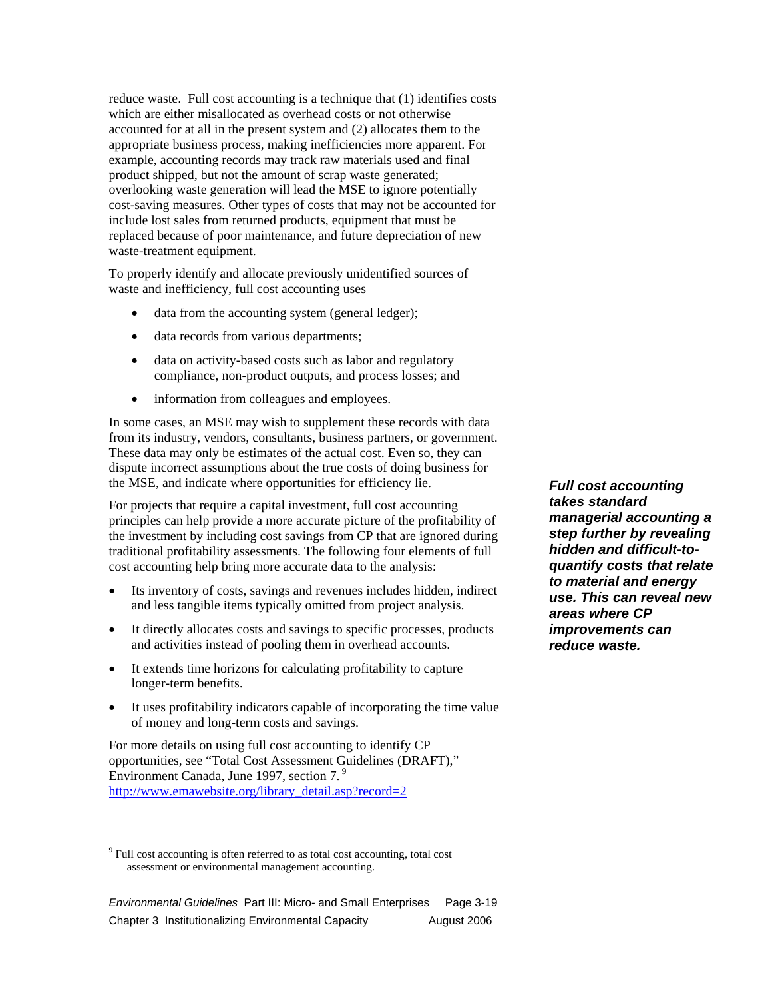reduce waste. Full cost accounting is a technique that (1) identifies costs which are either misallocated as overhead costs or not otherwise accounted for at all in the present system and (2) allocates them to the appropriate business process, making inefficiencies more apparent. For example, accounting records may track raw materials used and final product shipped, but not the amount of scrap waste generated; overlooking waste generation will lead the MSE to ignore potentially cost-saving measures. Other types of costs that may not be accounted for include lost sales from returned products, equipment that must be replaced because of poor maintenance, and future depreciation of new waste-treatment equipment.

To properly identify and allocate previously unidentified sources of waste and inefficiency, full cost accounting uses

- data from the accounting system (general ledger);
- data records from various departments;
- data on activity-based costs such as labor and regulatory compliance, non-product outputs, and process losses; and
- information from colleagues and employees.

In some cases, an MSE may wish to supplement these records with data from its industry, vendors, consultants, business partners, or government. These data may only be estimates of the actual cost. Even so, they can dispute incorrect assumptions about the true costs of doing business for the MSE, and indicate where opportunities for efficiency lie.

For projects that require a capital investment, full cost accounting principles can help provide a more accurate picture of the profitability of the investment by including cost savings from CP that are ignored during traditional profitability assessments. The following four elements of full cost accounting help bring more accurate data to the analysis:

- Its inventory of costs, savings and revenues includes hidden, indirect and less tangible items typically omitted from project analysis.
- It directly allocates costs and savings to specific processes, products and activities instead of pooling them in overhead accounts.
- It extends time horizons for calculating profitability to capture longer-term benefits.
- It uses profitability indicators capable of incorporating the time value of money and long-term costs and savings.

For more details on using full cost accounting to identify CP opportunities, see "Total Cost Assessment Guidelines (DRAFT)," Environment Canada, June 1997, section 7.<sup>9</sup> http://www.emawebsite.org/library\_detail.asp?record=2

 $\overline{a}$ 

*Full cost accounting takes standard managerial accounting a step further by revealing hidden and difficult-toquantify costs that relate to material and energy use. This can reveal new areas where CP improvements can reduce waste.* 

<sup>&</sup>lt;sup>9</sup> Full cost accounting is often referred to as total cost accounting, total cost assessment or environmental management accounting.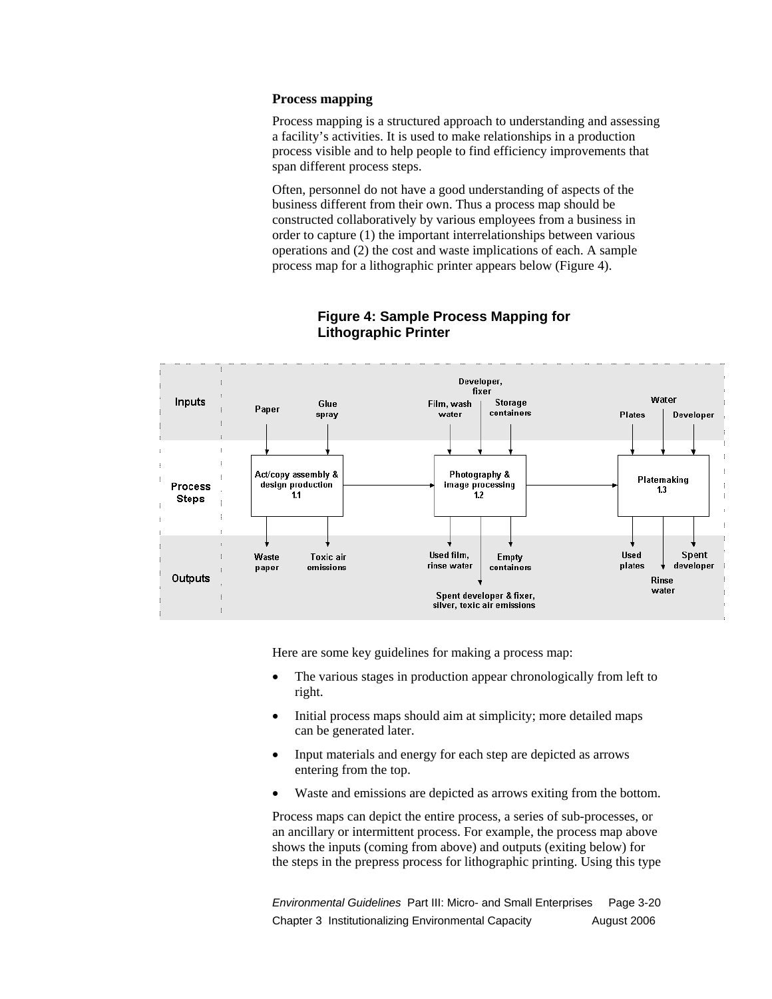#### **Process mapping**

Process mapping is a structured approach to understanding and assessing a facility's activities. It is used to make relationships in a production process visible and to help people to find efficiency improvements that span different process steps.

Often, personnel do not have a good understanding of aspects of the business different from their own. Thus a process map should be constructed collaboratively by various employees from a business in order to capture (1) the important interrelationships between various operations and (2) the cost and waste implications of each. A sample process map for a lithographic printer appears below (Figure 4).



#### **Figure 4: Sample Process Mapping for Lithographic Printer**

Here are some key guidelines for making a process map:

- The various stages in production appear chronologically from left to right.
- Initial process maps should aim at simplicity; more detailed maps can be generated later.
- Input materials and energy for each step are depicted as arrows entering from the top.
- Waste and emissions are depicted as arrows exiting from the bottom.

Process maps can depict the entire process, a series of sub-processes, or an ancillary or intermittent process. For example, the process map above shows the inputs (coming from above) and outputs (exiting below) for the steps in the prepress process for lithographic printing. Using this type

*Environmental Guidelines* Part III: Micro- and Small Enterprises Page 3-20 Chapter 3 Institutionalizing Environmental Capacity **August 2006**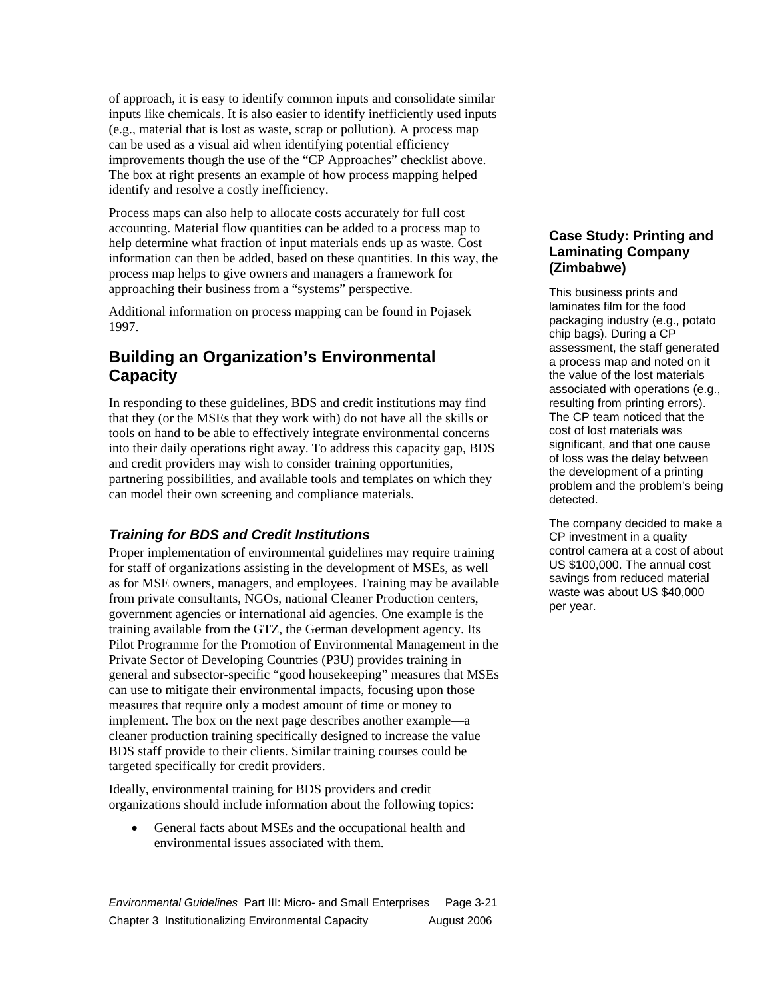of approach, it is easy to identify common inputs and consolidate similar inputs like chemicals. It is also easier to identify inefficiently used inputs (e.g., material that is lost as waste, scrap or pollution). A process map can be used as a visual aid when identifying potential efficiency improvements though the use of the "CP Approaches" checklist above. The box at right presents an example of how process mapping helped identify and resolve a costly inefficiency.

Process maps can also help to allocate costs accurately for full cost accounting. Material flow quantities can be added to a process map to help determine what fraction of input materials ends up as waste. Cost information can then be added, based on these quantities. In this way, the process map helps to give owners and managers a framework for approaching their business from a "systems" perspective.

Additional information on process mapping can be found in Pojasek 1997.

### **Building an Organization's Environmental Capacity**

In responding to these guidelines, BDS and credit institutions may find that they (or the MSEs that they work with) do not have all the skills or tools on hand to be able to effectively integrate environmental concerns into their daily operations right away. To address this capacity gap, BDS and credit providers may wish to consider training opportunities, partnering possibilities, and available tools and templates on which they can model their own screening and compliance materials.

### *Training for BDS and Credit Institutions*

Proper implementation of environmental guidelines may require training for staff of organizations assisting in the development of MSEs, as well as for MSE owners, managers, and employees. Training may be available from private consultants, NGOs, national Cleaner Production centers, government agencies or international aid agencies. One example is the training available from the GTZ, the German development agency. Its Pilot Programme for the Promotion of Environmental Management in the Private Sector of Developing Countries (P3U) provides training in general and subsector-specific "good housekeeping" measures that MSEs can use to mitigate their environmental impacts, focusing upon those measures that require only a modest amount of time or money to implement. The box on the next page describes another example—a cleaner production training specifically designed to increase the value BDS staff provide to their clients. Similar training courses could be targeted specifically for credit providers.

Ideally, environmental training for BDS providers and credit organizations should include information about the following topics:

• General facts about MSEs and the occupational health and environmental issues associated with them.

*Environmental Guidelines* Part III: Micro- and Small Enterprises Page 3-21

### Chapter 3 Institutionalizing Environmental Capacity August 2006

#### **Case Study: Printing and Laminating Company (Zimbabwe)**

This business prints and laminates film for the food packaging industry (e.g., potato chip bags). During a CP assessment, the staff generated a process map and noted on it the value of the lost materials associated with operations (e.g., resulting from printing errors). The CP team noticed that the cost of lost materials was significant, and that one cause of loss was the delay between the development of a printing problem and the problem's being detected.

The company decided to make a CP investment in a quality control camera at a cost of about US \$100,000. The annual cost savings from reduced material waste was about US \$40,000 per year.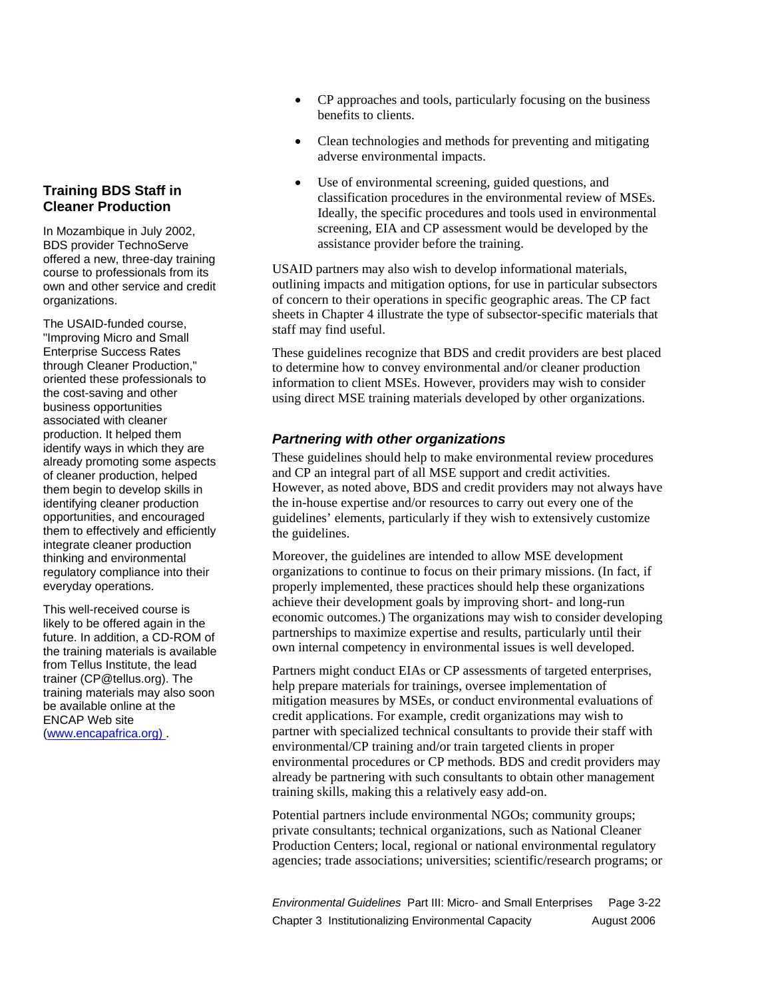#### **Training BDS Staff in Cleaner Production**

In Mozambique in July 2002, BDS provider TechnoServe offered a new, three-day training course to professionals from its own and other service and credit organizations.

The USAID-funded course, "Improving Micro and Small Enterprise Success Rates through Cleaner Production," oriented these professionals to the cost-saving and other business opportunities associated with cleaner production. It helped them identify ways in which they are already promoting some aspects of cleaner production, helped them begin to develop skills in identifying cleaner production opportunities, and encouraged them to effectively and efficiently integrate cleaner production thinking and environmental regulatory compliance into their everyday operations.

This well-received course is likely to be offered again in the future. In addition, a CD-ROM of the training materials is available from Tellus Institute, the lead trainer (CP@tellus.org). The training materials may also soon be available online at the ENCAP Web site (www.encapafrica.org) .

- CP approaches and tools, particularly focusing on the business benefits to clients.
- Clean technologies and methods for preventing and mitigating adverse environmental impacts.
- Use of environmental screening, guided questions, and classification procedures in the environmental review of MSEs. Ideally, the specific procedures and tools used in environmental screening, EIA and CP assessment would be developed by the assistance provider before the training.

USAID partners may also wish to develop informational materials, outlining impacts and mitigation options, for use in particular subsectors of concern to their operations in specific geographic areas. The CP fact sheets in Chapter 4 illustrate the type of subsector-specific materials that staff may find useful.

These guidelines recognize that BDS and credit providers are best placed to determine how to convey environmental and/or cleaner production information to client MSEs. However, providers may wish to consider using direct MSE training materials developed by other organizations.

#### *Partnering with other organizations*

These guidelines should help to make environmental review procedures and CP an integral part of all MSE support and credit activities. However, as noted above, BDS and credit providers may not always have the in-house expertise and/or resources to carry out every one of the guidelines' elements, particularly if they wish to extensively customize the guidelines.

Moreover, the guidelines are intended to allow MSE development organizations to continue to focus on their primary missions. (In fact, if properly implemented, these practices should help these organizations achieve their development goals by improving short- and long-run economic outcomes.) The organizations may wish to consider developing partnerships to maximize expertise and results, particularly until their own internal competency in environmental issues is well developed.

Partners might conduct EIAs or CP assessments of targeted enterprises, help prepare materials for trainings, oversee implementation of mitigation measures by MSEs, or conduct environmental evaluations of credit applications. For example, credit organizations may wish to partner with specialized technical consultants to provide their staff with environmental/CP training and/or train targeted clients in proper environmental procedures or CP methods. BDS and credit providers may already be partnering with such consultants to obtain other management training skills, making this a relatively easy add-on.

Potential partners include environmental NGOs; community groups; private consultants; technical organizations, such as National Cleaner Production Centers; local, regional or national environmental regulatory agencies; trade associations; universities; scientific/research programs; or

*Environmental Guidelines* Part III: Micro- and Small Enterprises Page 3-22 Chapter 3 Institutionalizing Environmental Capacity **August 2006**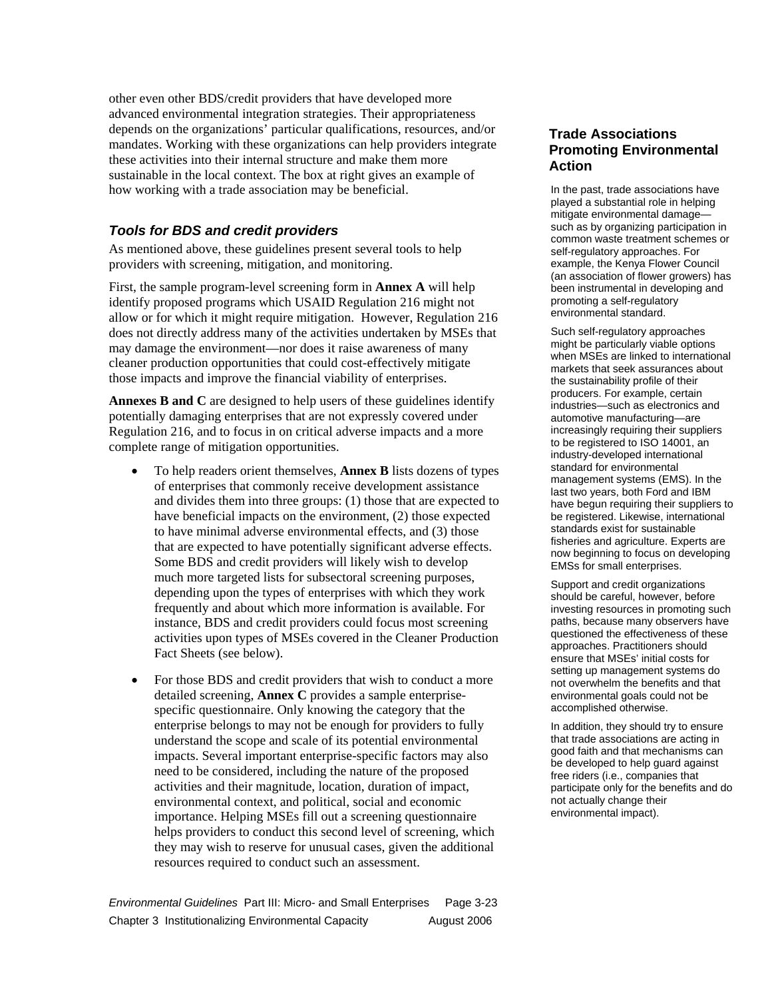other even other BDS/credit providers that have developed more advanced environmental integration strategies. Their appropriateness depends on the organizations' particular qualifications, resources, and/or mandates. Working with these organizations can help providers integrate these activities into their internal structure and make them more sustainable in the local context. The box at right gives an example of how working with a trade association may be beneficial.

#### *Tools for BDS and credit providers*

As mentioned above, these guidelines present several tools to help providers with screening, mitigation, and monitoring.

First, the sample program-level screening form in **Annex A** will help identify proposed programs which USAID Regulation 216 might not allow or for which it might require mitigation. However, Regulation 216 does not directly address many of the activities undertaken by MSEs that may damage the environment—nor does it raise awareness of many cleaner production opportunities that could cost-effectively mitigate those impacts and improve the financial viability of enterprises.

**Annexes B and C** are designed to help users of these guidelines identify potentially damaging enterprises that are not expressly covered under Regulation 216, and to focus in on critical adverse impacts and a more complete range of mitigation opportunities.

- To help readers orient themselves, **Annex B** lists dozens of types of enterprises that commonly receive development assistance and divides them into three groups: (1) those that are expected to have beneficial impacts on the environment, (2) those expected to have minimal adverse environmental effects, and (3) those that are expected to have potentially significant adverse effects. Some BDS and credit providers will likely wish to develop much more targeted lists for subsectoral screening purposes, depending upon the types of enterprises with which they work frequently and about which more information is available. For instance, BDS and credit providers could focus most screening activities upon types of MSEs covered in the Cleaner Production Fact Sheets (see below).
- For those BDS and credit providers that wish to conduct a more detailed screening, **Annex C** provides a sample enterprisespecific questionnaire. Only knowing the category that the enterprise belongs to may not be enough for providers to fully understand the scope and scale of its potential environmental impacts. Several important enterprise-specific factors may also need to be considered, including the nature of the proposed activities and their magnitude, location, duration of impact, environmental context, and political, social and economic importance. Helping MSEs fill out a screening questionnaire helps providers to conduct this second level of screening, which they may wish to reserve for unusual cases, given the additional resources required to conduct such an assessment.

**Trade Associations Promoting Environmental Action** 

In the past, trade associations have played a substantial role in helping mitigate environmental damage such as by organizing participation in common waste treatment schemes or self-regulatory approaches. For example, the Kenya Flower Council (an association of flower growers) has been instrumental in developing and promoting a self-regulatory environmental standard.

Such self-regulatory approaches might be particularly viable options when MSEs are linked to international markets that seek assurances about the sustainability profile of their producers. For example, certain industries—such as electronics and automotive manufacturing—are increasingly requiring their suppliers to be registered to ISO 14001, an industry-developed international standard for environmental management systems (EMS). In the last two years, both Ford and IBM have begun requiring their suppliers to be registered. Likewise, international standards exist for sustainable fisheries and agriculture. Experts are now beginning to focus on developing EMSs for small enterprises.

Support and credit organizations should be careful, however, before investing resources in promoting such paths, because many observers have questioned the effectiveness of these approaches. Practitioners should ensure that MSEs' initial costs for setting up management systems do not overwhelm the benefits and that environmental goals could not be accomplished otherwise.

In addition, they should try to ensure that trade associations are acting in good faith and that mechanisms can be developed to help guard against free riders (i.e., companies that participate only for the benefits and do not actually change their environmental impact).

*Environmental Guidelines* Part III: Micro- and Small Enterprises Page 3-23 Chapter 3 Institutionalizing Environmental Capacity August 2006